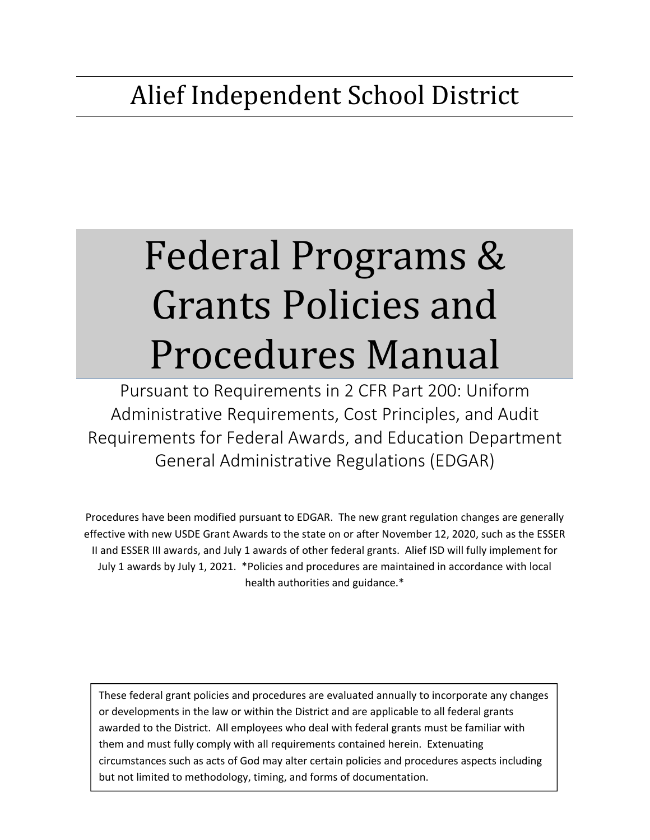# Federal Programs & Grants Policies and Procedures Manual

Pursuant to Requirements in 2 CFR Part 200: Uniform Administrative Requirements, Cost Principles, and Audit Requirements for Federal Awards, and Education Department General Administrative Regulations (EDGAR)

Procedures have been modified pursuant to EDGAR. The new grant regulation changes are generally effective with new USDE Grant Awards to the state on or after November 12, 2020, such as the ESSER II and ESSER III awards, and July 1 awards of other federal grants. Alief ISD will fully implement for July 1 awards by July 1, 2021. \*Policies and procedures are maintained in accordance with local health authorities and guidance.\*

These federal grant policies and procedures are evaluated annually to incorporate any changes or developments in the law or within the District and are applicable to all federal grants awarded to the District. All employees who deal with federal grants must be familiar with them and must fully comply with all requirements contained herein. Extenuating circumstances such as acts of God may alter certain policies and procedures aspects including but not limited to methodology, timing, and forms of documentation.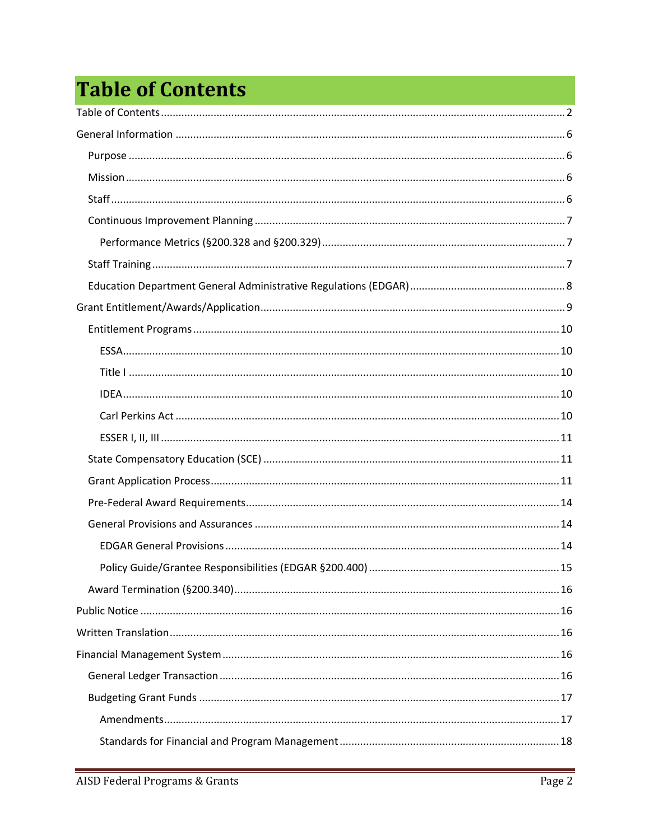## **Table of Contents**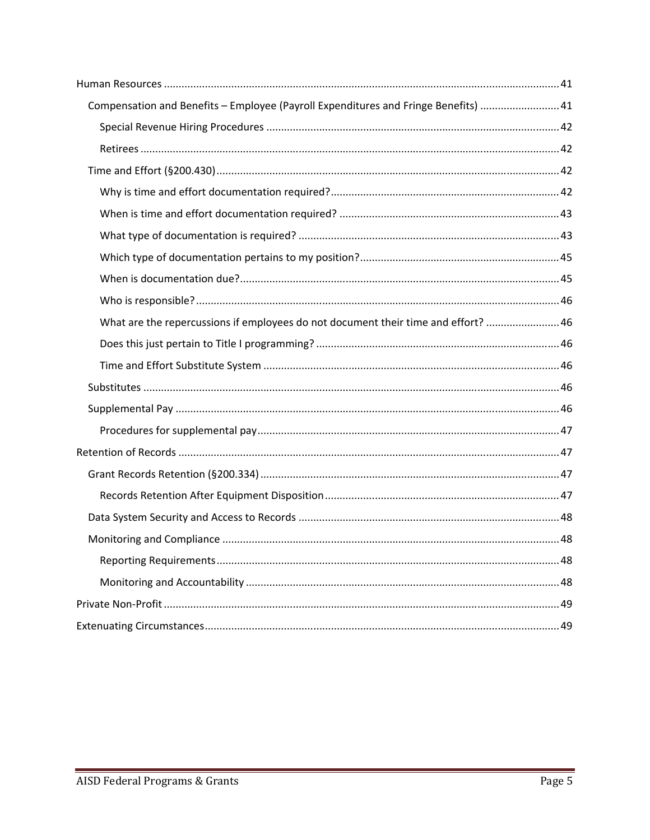| Compensation and Benefits - Employee (Payroll Expenditures and Fringe Benefits)  41 |
|-------------------------------------------------------------------------------------|
|                                                                                     |
|                                                                                     |
|                                                                                     |
|                                                                                     |
|                                                                                     |
|                                                                                     |
|                                                                                     |
|                                                                                     |
|                                                                                     |
| What are the repercussions if employees do not document their time and effort?  46  |
|                                                                                     |
|                                                                                     |
|                                                                                     |
|                                                                                     |
|                                                                                     |
|                                                                                     |
|                                                                                     |
|                                                                                     |
|                                                                                     |
|                                                                                     |
|                                                                                     |
|                                                                                     |
|                                                                                     |
|                                                                                     |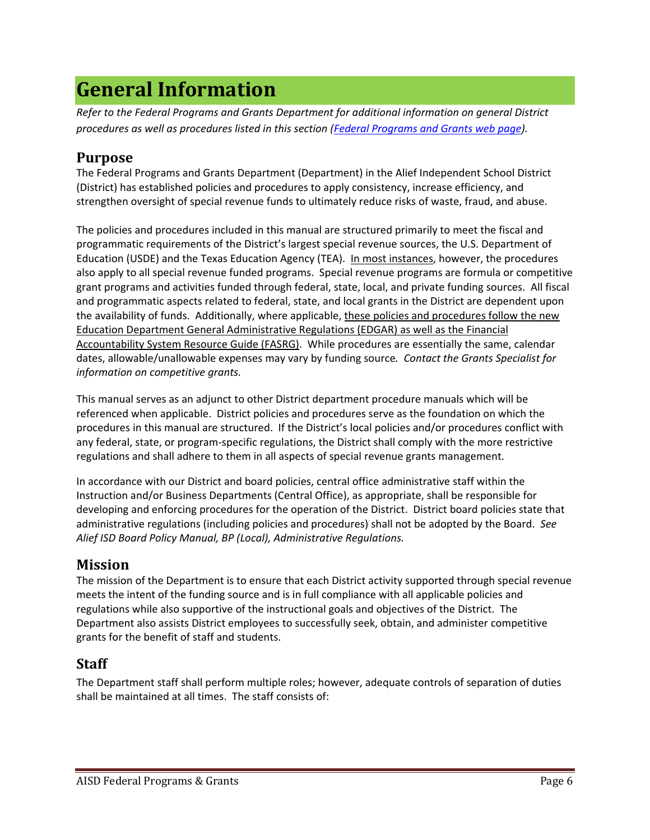## **General Information**

*Refer to the Federal Programs and Grants Department for additional information on general District procedures as well as procedures listed in this section (Federal Programs and Grants web page).* 

## **Purpose**

The Federal Programs and Grants Department (Department) in the Alief Independent School District (District) has established policies and procedures to apply consistency, increase efficiency, and strengthen oversight of special revenue funds to ultimately reduce risks of waste, fraud, and abuse.

The policies and procedures included in this manual are structured primarily to meet the fiscal and programmatic requirements of the District's largest special revenue sources, the U.S. Department of Education (USDE) and the Texas Education Agency (TEA). In most instances, however, the procedures also apply to all special revenue funded programs. Special revenue programs are formula or competitive grant programs and activities funded through federal, state, local, and private funding sources. All fiscal and programmatic aspects related to federal, state, and local grants in the District are dependent upon the availability of funds. Additionally, where applicable, these policies and procedures follow the new Education Department General Administrative Regulations (EDGAR) as well as the Financial Accountability System Resource Guide (FASRG). While procedures are essentially the same, calendar dates, allowable/unallowable expenses may vary by funding source*. Contact the Grants Specialist for information on competitive grants.*

This manual serves as an adjunct to other District department procedure manuals which will be referenced when applicable. District policies and procedures serve as the foundation on which the procedures in this manual are structured. If the District's local policies and/or procedures conflict with any federal, state, or program‐specific regulations, the District shall comply with the more restrictive regulations and shall adhere to them in all aspects of special revenue grants management.

In accordance with our District and board policies, central office administrative staff within the Instruction and/or Business Departments (Central Office), as appropriate, shall be responsible for developing and enforcing procedures for the operation of the District. District board policies state that administrative regulations (including policies and procedures) shall not be adopted by the Board. *See Alief ISD Board Policy Manual, BP (Local), Administrative Regulations.* 

## **Mission**

The mission of the Department is to ensure that each District activity supported through special revenue meets the intent of the funding source and is in full compliance with all applicable policies and regulations while also supportive of the instructional goals and objectives of the District. The Department also assists District employees to successfully seek, obtain, and administer competitive grants for the benefit of staff and students.

## **Staff**

The Department staff shall perform multiple roles; however, adequate controls of separation of duties shall be maintained at all times. The staff consists of: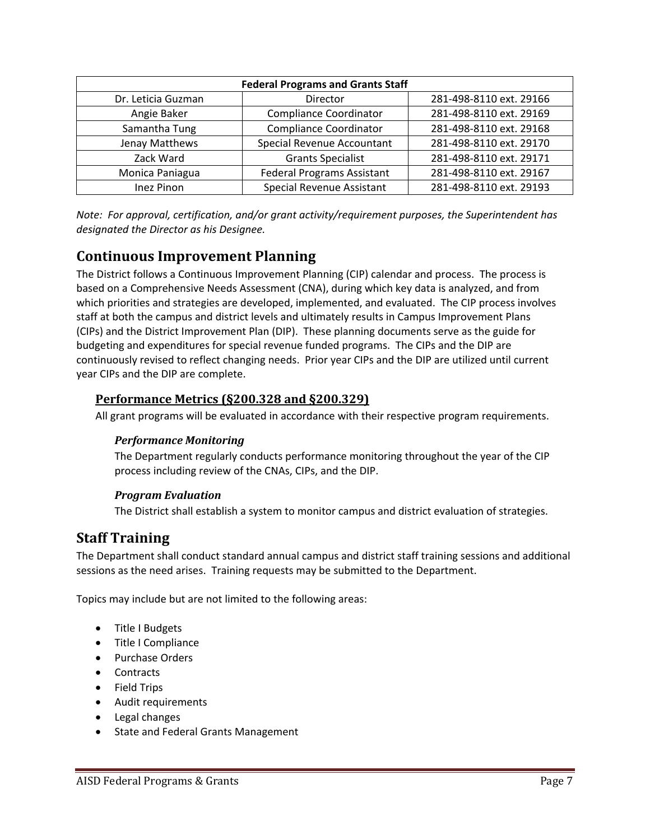| <b>Federal Programs and Grants Staff</b> |                                   |                         |  |  |
|------------------------------------------|-----------------------------------|-------------------------|--|--|
| Dr. Leticia Guzman                       | Director                          | 281-498-8110 ext. 29166 |  |  |
| Angie Baker                              | <b>Compliance Coordinator</b>     | 281-498-8110 ext. 29169 |  |  |
| Samantha Tung                            | <b>Compliance Coordinator</b>     | 281-498-8110 ext. 29168 |  |  |
| Jenay Matthews                           | Special Revenue Accountant        | 281-498-8110 ext. 29170 |  |  |
| Zack Ward                                | <b>Grants Specialist</b>          | 281-498-8110 ext. 29171 |  |  |
| Monica Paniagua                          | <b>Federal Programs Assistant</b> | 281-498-8110 ext. 29167 |  |  |
| <b>Inez Pinon</b>                        | Special Revenue Assistant         | 281-498-8110 ext. 29193 |  |  |

*Note: For approval, certification, and/or grant activity/requirement purposes, the Superintendent has designated the Director as his Designee.* 

## **Continuous Improvement Planning**

The District follows a Continuous Improvement Planning (CIP) calendar and process. The process is based on a Comprehensive Needs Assessment (CNA), during which key data is analyzed, and from which priorities and strategies are developed, implemented, and evaluated. The CIP process involves staff at both the campus and district levels and ultimately results in Campus Improvement Plans (CIPs) and the District Improvement Plan (DIP). These planning documents serve as the guide for budgeting and expenditures for special revenue funded programs. The CIPs and the DIP are continuously revised to reflect changing needs. Prior year CIPs and the DIP are utilized until current year CIPs and the DIP are complete.

## **Performance Metrics (§200.328 and §200.329)**

All grant programs will be evaluated in accordance with their respective program requirements.

## *Performance Monitoring*

The Department regularly conducts performance monitoring throughout the year of the CIP process including review of the CNAs, CIPs, and the DIP.

## *Program Evaluation*

The District shall establish a system to monitor campus and district evaluation of strategies.

## **Staff Training**

The Department shall conduct standard annual campus and district staff training sessions and additional sessions as the need arises. Training requests may be submitted to the Department.

Topics may include but are not limited to the following areas:

- Title I Budgets
- Title I Compliance
- Purchase Orders
- Contracts
- Field Trips
- Audit requirements
- Legal changes
- State and Federal Grants Management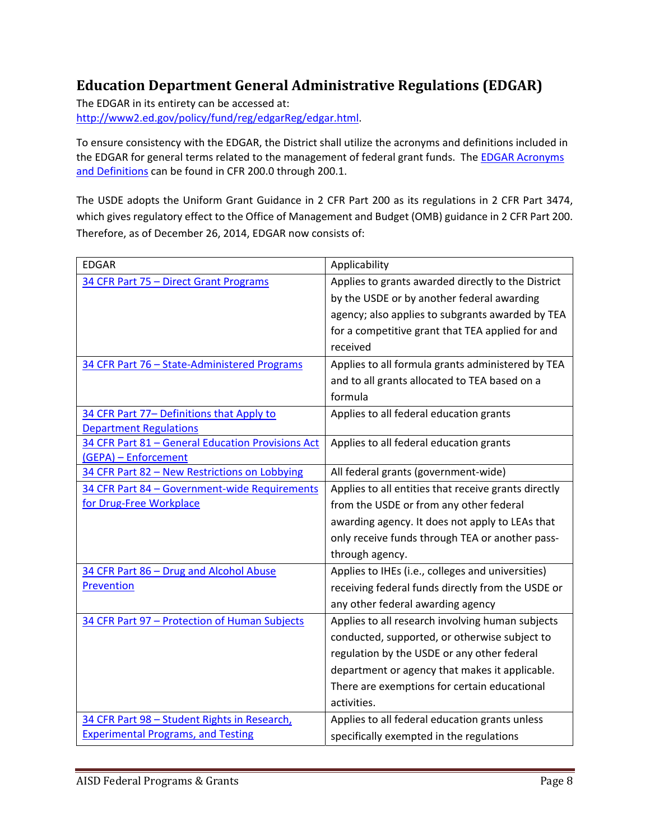## **Education Department General Administrative Regulations (EDGAR)**

The EDGAR in its entirety can be accessed at: http://www2.ed.gov/policy/fund/reg/edgarReg/edgar.html.

To ensure consistency with the EDGAR, the District shall utilize the acronyms and definitions included in the EDGAR for general terms related to the management of federal grant funds. The EDGAR Acronyms and Definitions can be found in CFR 200.0 through 200.1.

The USDE adopts the Uniform Grant Guidance in 2 CFR Part 200 as its regulations in 2 CFR Part 3474, which gives regulatory effect to the Office of Management and Budget (OMB) guidance in 2 CFR Part 200. Therefore, as of December 26, 2014, EDGAR now consists of:

| <b>EDGAR</b>                                      | Applicability                                        |  |  |
|---------------------------------------------------|------------------------------------------------------|--|--|
| 34 CFR Part 75 - Direct Grant Programs            | Applies to grants awarded directly to the District   |  |  |
|                                                   | by the USDE or by another federal awarding           |  |  |
|                                                   | agency; also applies to subgrants awarded by TEA     |  |  |
|                                                   | for a competitive grant that TEA applied for and     |  |  |
|                                                   | received                                             |  |  |
| 34 CFR Part 76 - State-Administered Programs      | Applies to all formula grants administered by TEA    |  |  |
|                                                   | and to all grants allocated to TEA based on a        |  |  |
|                                                   | formula                                              |  |  |
| 34 CFR Part 77- Definitions that Apply to         | Applies to all federal education grants              |  |  |
| <b>Department Regulations</b>                     |                                                      |  |  |
| 34 CFR Part 81 - General Education Provisions Act | Applies to all federal education grants              |  |  |
| (GEPA) - Enforcement                              |                                                      |  |  |
| 34 CFR Part 82 - New Restrictions on Lobbying     | All federal grants (government-wide)                 |  |  |
| 34 CFR Part 84 - Government-wide Requirements     | Applies to all entities that receive grants directly |  |  |
| for Drug-Free Workplace                           | from the USDE or from any other federal              |  |  |
|                                                   | awarding agency. It does not apply to LEAs that      |  |  |
|                                                   | only receive funds through TEA or another pass-      |  |  |
|                                                   | through agency.                                      |  |  |
| 34 CFR Part 86 - Drug and Alcohol Abuse           | Applies to IHEs (i.e., colleges and universities)    |  |  |
| Prevention                                        | receiving federal funds directly from the USDE or    |  |  |
|                                                   | any other federal awarding agency                    |  |  |
| 34 CFR Part 97 - Protection of Human Subjects     | Applies to all research involving human subjects     |  |  |
|                                                   | conducted, supported, or otherwise subject to        |  |  |
|                                                   | regulation by the USDE or any other federal          |  |  |
|                                                   | department or agency that makes it applicable.       |  |  |
|                                                   | There are exemptions for certain educational         |  |  |
|                                                   | activities.                                          |  |  |
| 34 CFR Part 98 - Student Rights in Research,      | Applies to all federal education grants unless       |  |  |
| <b>Experimental Programs, and Testing</b>         | specifically exempted in the regulations             |  |  |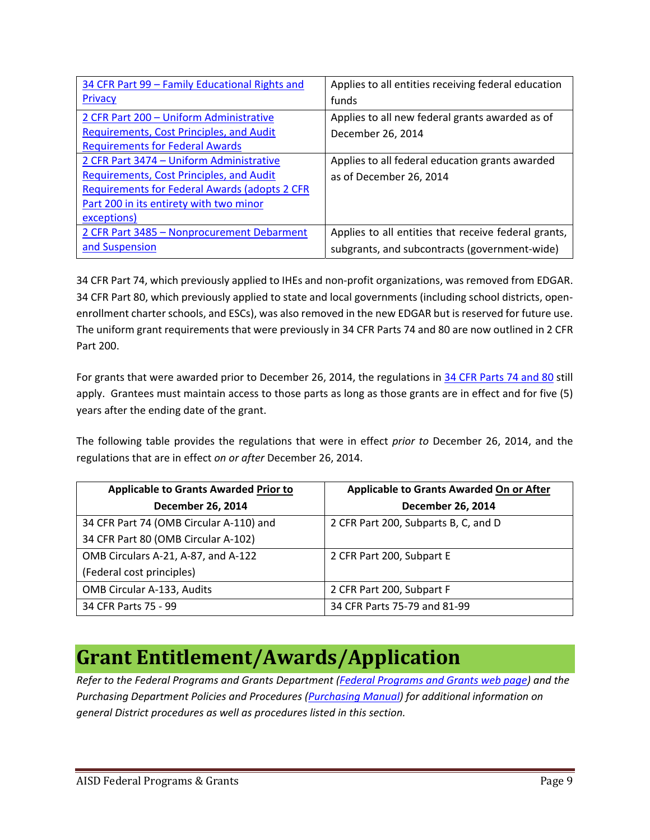| 34 CFR Part 99 - Family Educational Rights and       | Applies to all entities receiving federal education  |
|------------------------------------------------------|------------------------------------------------------|
| Privacy                                              | funds                                                |
| 2 CFR Part 200 - Uniform Administrative              | Applies to all new federal grants awarded as of      |
| <b>Requirements, Cost Principles, and Audit</b>      | December 26, 2014                                    |
| <b>Requirements for Federal Awards</b>               |                                                      |
| 2 CFR Part 3474 - Uniform Administrative             | Applies to all federal education grants awarded      |
| Requirements, Cost Principles, and Audit             | as of December 26, 2014                              |
| <b>Requirements for Federal Awards (adopts 2 CFR</b> |                                                      |
| Part 200 in its entirety with two minor              |                                                      |
| exceptions)                                          |                                                      |
| 2 CFR Part 3485 - Nonprocurement Debarment           | Applies to all entities that receive federal grants, |
| and Suspension                                       | subgrants, and subcontracts (government-wide)        |

34 CFR Part 74, which previously applied to IHEs and non‐profit organizations, was removed from EDGAR. 34 CFR Part 80, which previously applied to state and local governments (including school districts, open‐ enrollment charter schools, and ESCs), was also removed in the new EDGAR but is reserved for future use. The uniform grant requirements that were previously in 34 CFR Parts 74 and 80 are now outlined in 2 CFR Part 200.

For grants that were awarded prior to December 26, 2014, the regulations in 34 CFR Parts 74 and 80 still apply. Grantees must maintain access to those parts as long as those grants are in effect and for five (5) years after the ending date of the grant.

The following table provides the regulations that were in effect *prior to* December 26, 2014, and the regulations that are in effect *on or after* December 26, 2014.

| <b>Applicable to Grants Awarded Prior to</b> | <b>Applicable to Grants Awarded On or After</b> |  |
|----------------------------------------------|-------------------------------------------------|--|
| <b>December 26, 2014</b>                     | <b>December 26, 2014</b>                        |  |
| 34 CFR Part 74 (OMB Circular A-110) and      | 2 CFR Part 200, Subparts B, C, and D            |  |
| 34 CFR Part 80 (OMB Circular A-102)          |                                                 |  |
| OMB Circulars A-21, A-87, and A-122          | 2 CFR Part 200, Subpart E                       |  |
| (Federal cost principles)                    |                                                 |  |
| <b>OMB Circular A-133, Audits</b>            | 2 CFR Part 200, Subpart F                       |  |
| 34 CFR Parts 75 - 99                         | 34 CFR Parts 75-79 and 81-99                    |  |

## **Grant Entitlement/Awards/Application**

*Refer to the Federal Programs and Grants Department (Federal Programs and Grants web page) and the Purchasing Department Policies and Procedures (Purchasing Manual) for additional information on general District procedures as well as procedures listed in this section.*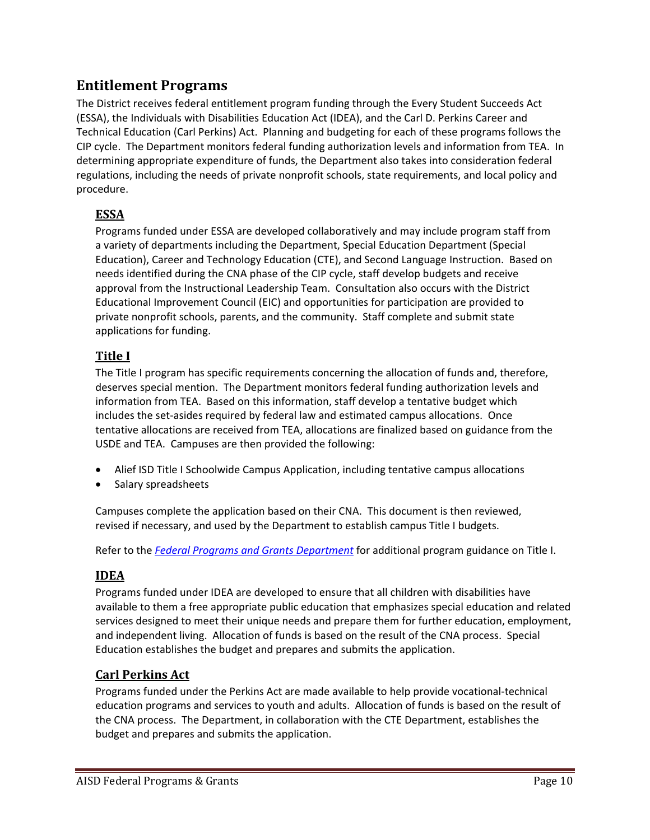## **Entitlement Programs**

The District receives federal entitlement program funding through the Every Student Succeeds Act (ESSA), the Individuals with Disabilities Education Act (IDEA), and the Carl D. Perkins Career and Technical Education (Carl Perkins) Act. Planning and budgeting for each of these programs follows the CIP cycle. The Department monitors federal funding authorization levels and information from TEA. In determining appropriate expenditure of funds, the Department also takes into consideration federal regulations, including the needs of private nonprofit schools, state requirements, and local policy and procedure.

## **ESSA**

Programs funded under ESSA are developed collaboratively and may include program staff from a variety of departments including the Department, Special Education Department (Special Education), Career and Technology Education (CTE), and Second Language Instruction. Based on needs identified during the CNA phase of the CIP cycle, staff develop budgets and receive approval from the Instructional Leadership Team. Consultation also occurs with the District Educational Improvement Council (EIC) and opportunities for participation are provided to private nonprofit schools, parents, and the community. Staff complete and submit state applications for funding.

## **Title I**

The Title I program has specific requirements concerning the allocation of funds and, therefore, deserves special mention. The Department monitors federal funding authorization levels and information from TEA. Based on this information, staff develop a tentative budget which includes the set-asides required by federal law and estimated campus allocations. Once tentative allocations are received from TEA, allocations are finalized based on guidance from the USDE and TEA. Campuses are then provided the following:

- Alief ISD Title I Schoolwide Campus Application, including tentative campus allocations
- Salary spreadsheets

Campuses complete the application based on their CNA. This document is then reviewed, revised if necessary, and used by the Department to establish campus Title I budgets.

Refer to the *Federal Programs and Grants Department* for additional program guidance on Title I.

## **IDEA**

Programs funded under IDEA are developed to ensure that all children with disabilities have available to them a free appropriate public education that emphasizes special education and related services designed to meet their unique needs and prepare them for further education, employment, and independent living. Allocation of funds is based on the result of the CNA process. Special Education establishes the budget and prepares and submits the application.

## **Carl Perkins Act**

Programs funded under the Perkins Act are made available to help provide vocational‐technical education programs and services to youth and adults. Allocation of funds is based on the result of the CNA process. The Department, in collaboration with the CTE Department, establishes the budget and prepares and submits the application.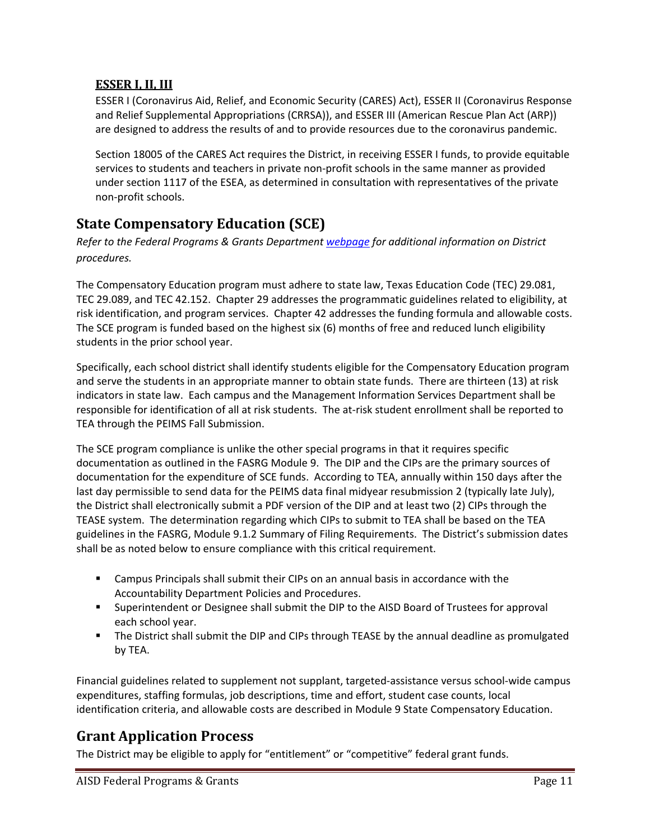## **ESSER I, II, III**

ESSER I (Coronavirus Aid, Relief, and Economic Security (CARES) Act), ESSER II (Coronavirus Response and Relief Supplemental Appropriations (CRRSA)), and ESSER III (American Rescue Plan Act (ARP)) are designed to address the results of and to provide resources due to the coronavirus pandemic.

Section 18005 of the CARES Act requires the District, in receiving ESSER I funds, to provide equitable services to students and teachers in private non‐profit schools in the same manner as provided under section 1117 of the ESEA, as determined in consultation with representatives of the private non‐profit schools.

## **State Compensatory Education (SCE)**

*Refer to the Federal Programs & Grants Department webpage for additional information on District procedures.* 

The Compensatory Education program must adhere to state law, Texas Education Code (TEC) 29.081, TEC 29.089, and TEC 42.152. Chapter 29 addresses the programmatic guidelines related to eligibility, at risk identification, and program services. Chapter 42 addresses the funding formula and allowable costs. The SCE program is funded based on the highest six (6) months of free and reduced lunch eligibility students in the prior school year.

Specifically, each school district shall identify students eligible for the Compensatory Education program and serve the students in an appropriate manner to obtain state funds. There are thirteen (13) at risk indicators in state law. Each campus and the Management Information Services Department shall be responsible for identification of all at risk students. The at-risk student enrollment shall be reported to TEA through the PEIMS Fall Submission.

The SCE program compliance is unlike the other special programs in that it requires specific documentation as outlined in the FASRG Module 9. The DIP and the CIPs are the primary sources of documentation for the expenditure of SCE funds. According to TEA, annually within 150 days after the last day permissible to send data for the PEIMS data final midyear resubmission 2 (typically late July), the District shall electronically submit a PDF version of the DIP and at least two (2) CIPs through the TEASE system. The determination regarding which CIPs to submit to TEA shall be based on the TEA guidelines in the FASRG, Module 9.1.2 Summary of Filing Requirements. The District's submission dates shall be as noted below to ensure compliance with this critical requirement.

- Campus Principals shall submit their CIPs on an annual basis in accordance with the Accountability Department Policies and Procedures.
- Superintendent or Designee shall submit the DIP to the AISD Board of Trustees for approval each school year.
- **The District shall submit the DIP and CIPs through TEASE by the annual deadline as promulgated** by TEA.

Financial guidelines related to supplement not supplant, targeted‐assistance versus school‐wide campus expenditures, staffing formulas, job descriptions, time and effort, student case counts, local identification criteria, and allowable costs are described in Module 9 State Compensatory Education.

## **Grant Application Process**

The District may be eligible to apply for "entitlement" or "competitive" federal grant funds.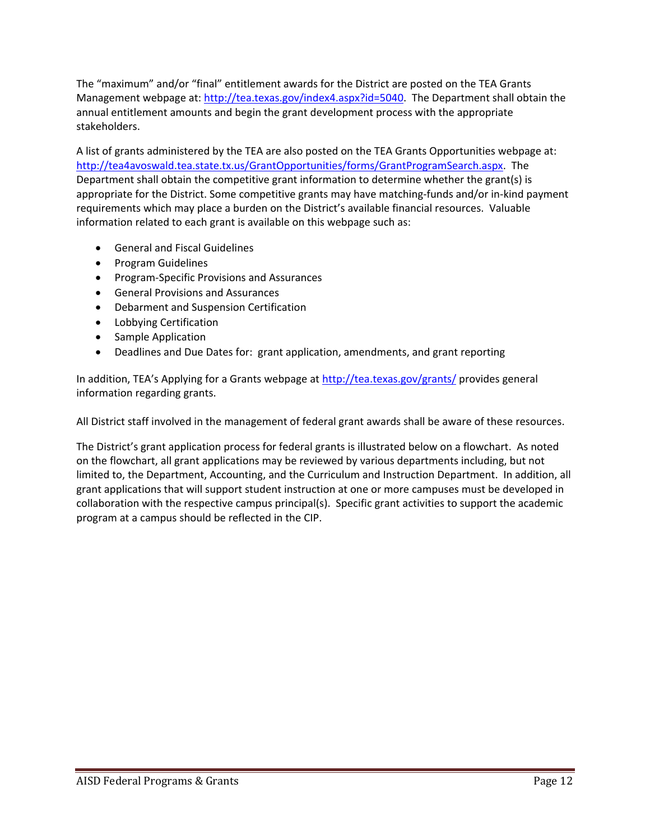The "maximum" and/or "final" entitlement awards for the District are posted on the TEA Grants Management webpage at: http://tea.texas.gov/index4.aspx?id=5040. The Department shall obtain the annual entitlement amounts and begin the grant development process with the appropriate stakeholders.

A list of grants administered by the TEA are also posted on the TEA Grants Opportunities webpage at: http://tea4avoswald.tea.state.tx.us/GrantOpportunities/forms/GrantProgramSearch.aspx. The Department shall obtain the competitive grant information to determine whether the grant(s) is appropriate for the District. Some competitive grants may have matching-funds and/or in-kind payment requirements which may place a burden on the District's available financial resources. Valuable information related to each grant is available on this webpage such as:

- General and Fiscal Guidelines
- Program Guidelines
- Program-Specific Provisions and Assurances
- General Provisions and Assurances
- Debarment and Suspension Certification
- Lobbying Certification
- Sample Application
- Deadlines and Due Dates for: grant application, amendments, and grant reporting

In addition, TEA's Applying for a Grants webpage at http://tea.texas.gov/grants/ provides general information regarding grants.

All District staff involved in the management of federal grant awards shall be aware of these resources.

The District's grant application process for federal grants is illustrated below on a flowchart. As noted on the flowchart, all grant applications may be reviewed by various departments including, but not limited to, the Department, Accounting, and the Curriculum and Instruction Department. In addition, all grant applications that will support student instruction at one or more campuses must be developed in collaboration with the respective campus principal(s). Specific grant activities to support the academic program at a campus should be reflected in the CIP.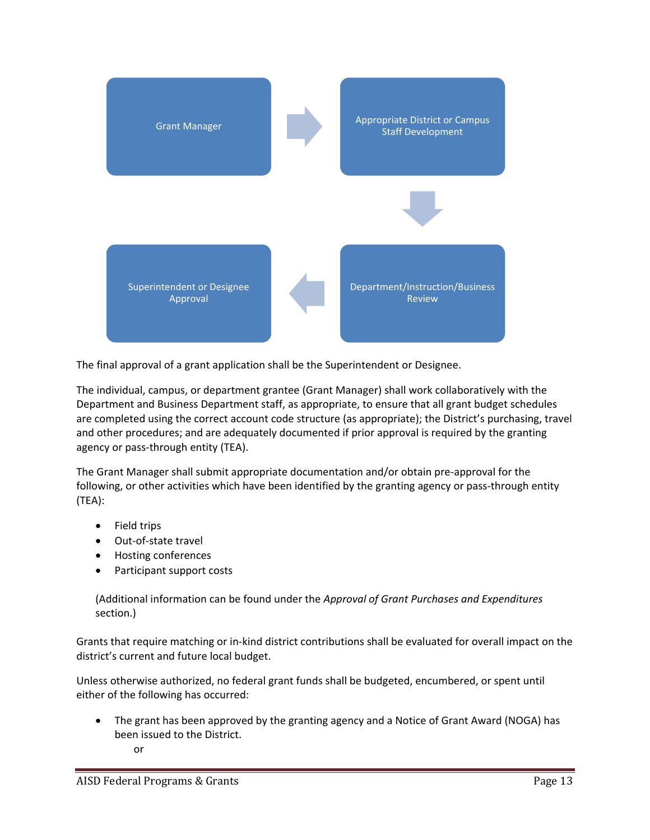

The final approval of a grant application shall be the Superintendent or Designee.

The individual, campus, or department grantee (Grant Manager) shall work collaboratively with the Department and Business Department staff, as appropriate, to ensure that all grant budget schedules are completed using the correct account code structure (as appropriate); the District's purchasing, travel and other procedures; and are adequately documented if prior approval is required by the granting agency or pass‐through entity (TEA).

The Grant Manager shall submit appropriate documentation and/or obtain pre‐approval for the following, or other activities which have been identified by the granting agency or pass-through entity (TEA):

- Field trips
- Out-of-state travel
- Hosting conferences
- Participant support costs

(Additional information can be found under the *Approval of Grant Purchases and Expenditures* section.)

Grants that require matching or in‐kind district contributions shall be evaluated for overall impact on the district's current and future local budget.

Unless otherwise authorized, no federal grant funds shall be budgeted, encumbered, or spent until either of the following has occurred:

- The grant has been approved by the granting agency and a Notice of Grant Award (NOGA) has been issued to the District.
	- or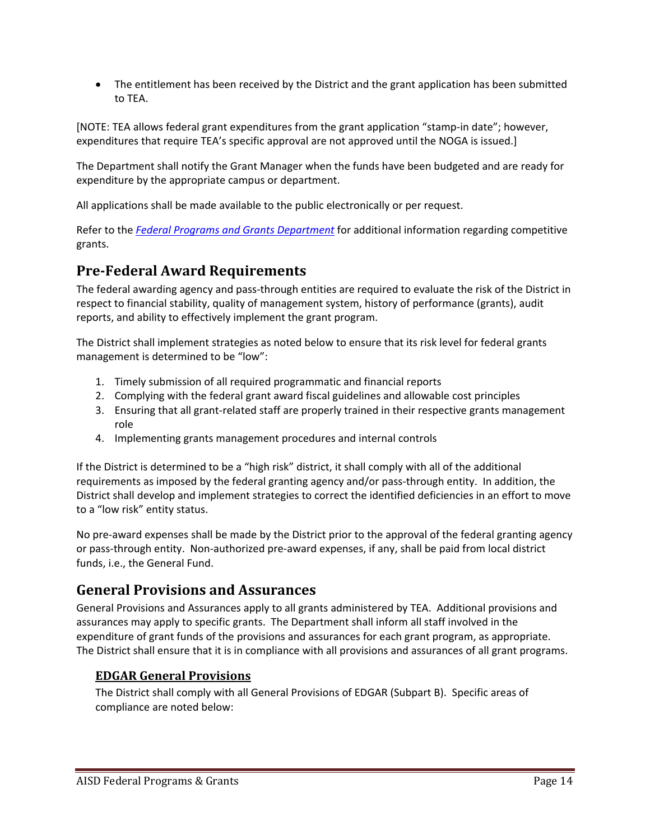The entitlement has been received by the District and the grant application has been submitted to TEA.

[NOTE: TEA allows federal grant expenditures from the grant application "stamp‐in date"; however, expenditures that require TEA's specific approval are not approved until the NOGA is issued.]

The Department shall notify the Grant Manager when the funds have been budgeted and are ready for expenditure by the appropriate campus or department.

All applications shall be made available to the public electronically or per request.

Refer to the *Federal Programs and Grants Department* for additional information regarding competitive grants.

## **Pre‐Federal Award Requirements**

The federal awarding agency and pass‐through entities are required to evaluate the risk of the District in respect to financial stability, quality of management system, history of performance (grants), audit reports, and ability to effectively implement the grant program.

The District shall implement strategies as noted below to ensure that its risk level for federal grants management is determined to be "low":

- 1. Timely submission of all required programmatic and financial reports
- 2. Complying with the federal grant award fiscal guidelines and allowable cost principles
- 3. Ensuring that all grant-related staff are properly trained in their respective grants management role
- 4. Implementing grants management procedures and internal controls

If the District is determined to be a "high risk" district, it shall comply with all of the additional requirements as imposed by the federal granting agency and/or pass‐through entity. In addition, the District shall develop and implement strategies to correct the identified deficiencies in an effort to move to a "low risk" entity status.

No pre-award expenses shall be made by the District prior to the approval of the federal granting agency or pass‐through entity. Non‐authorized pre‐award expenses, if any, shall be paid from local district funds, i.e., the General Fund.

## **General Provisions and Assurances**

General Provisions and Assurances apply to all grants administered by TEA. Additional provisions and assurances may apply to specific grants. The Department shall inform all staff involved in the expenditure of grant funds of the provisions and assurances for each grant program, as appropriate. The District shall ensure that it is in compliance with all provisions and assurances of all grant programs.

## **EDGAR General Provisions**

The District shall comply with all General Provisions of EDGAR (Subpart B). Specific areas of compliance are noted below: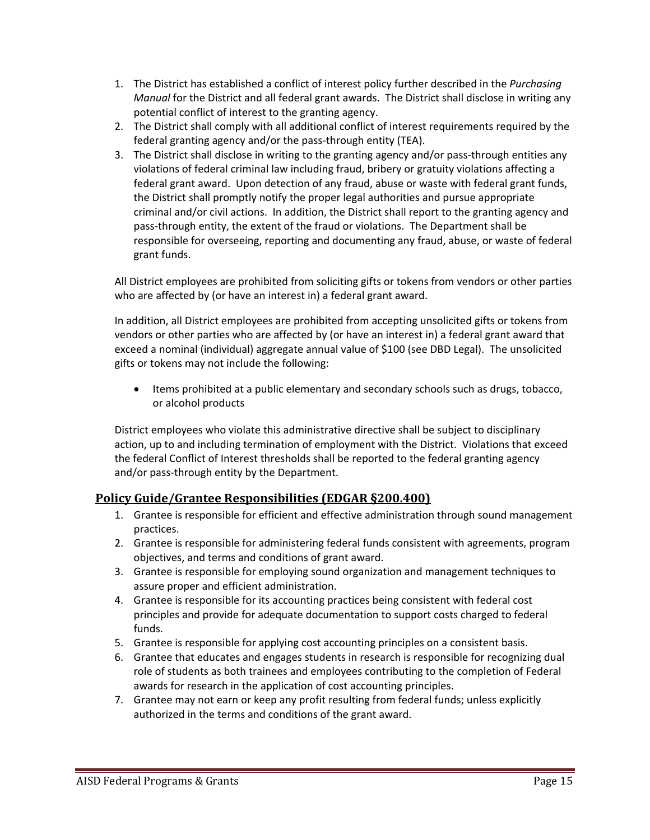- 1. The District has established a conflict of interest policy further described in the *Purchasing Manual* for the District and all federal grant awards. The District shall disclose in writing any potential conflict of interest to the granting agency.
- 2. The District shall comply with all additional conflict of interest requirements required by the federal granting agency and/or the pass-through entity (TEA).
- 3. The District shall disclose in writing to the granting agency and/or pass-through entities any violations of federal criminal law including fraud, bribery or gratuity violations affecting a federal grant award. Upon detection of any fraud, abuse or waste with federal grant funds, the District shall promptly notify the proper legal authorities and pursue appropriate criminal and/or civil actions. In addition, the District shall report to the granting agency and pass‐through entity, the extent of the fraud or violations. The Department shall be responsible for overseeing, reporting and documenting any fraud, abuse, or waste of federal grant funds.

All District employees are prohibited from soliciting gifts or tokens from vendors or other parties who are affected by (or have an interest in) a federal grant award.

In addition, all District employees are prohibited from accepting unsolicited gifts or tokens from vendors or other parties who are affected by (or have an interest in) a federal grant award that exceed a nominal (individual) aggregate annual value of \$100 (see DBD Legal). The unsolicited gifts or tokens may not include the following:

• Items prohibited at a public elementary and secondary schools such as drugs, tobacco, or alcohol products

District employees who violate this administrative directive shall be subject to disciplinary action, up to and including termination of employment with the District. Violations that exceed the federal Conflict of Interest thresholds shall be reported to the federal granting agency and/or pass-through entity by the Department.

## **Policy Guide/Grantee Responsibilities (EDGAR §200.400)**

- 1. Grantee is responsible for efficient and effective administration through sound management practices.
- 2. Grantee is responsible for administering federal funds consistent with agreements, program objectives, and terms and conditions of grant award.
- 3. Grantee is responsible for employing sound organization and management techniques to assure proper and efficient administration.
- 4. Grantee is responsible for its accounting practices being consistent with federal cost principles and provide for adequate documentation to support costs charged to federal funds.
- 5. Grantee is responsible for applying cost accounting principles on a consistent basis.
- 6. Grantee that educates and engages students in research is responsible for recognizing dual role of students as both trainees and employees contributing to the completion of Federal awards for research in the application of cost accounting principles.
- 7. Grantee may not earn or keep any profit resulting from federal funds; unless explicitly authorized in the terms and conditions of the grant award.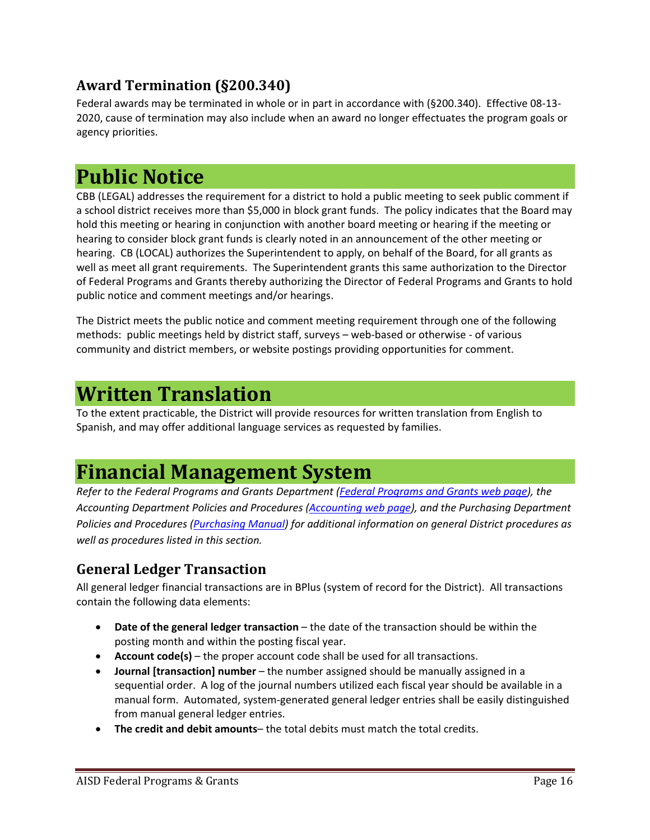## **Award Termination (§200.340)**

Federal awards may be terminated in whole or in part in accordance with (§200.340). Effective 08‐13‐ 2020, cause of termination may also include when an award no longer effectuates the program goals or agency priorities.

## **Public Notice**

CBB (LEGAL) addresses the requirement for a district to hold a public meeting to seek public comment if a school district receives more than \$5,000 in block grant funds. The policy indicates that the Board may hold this meeting or hearing in conjunction with another board meeting or hearing if the meeting or hearing to consider block grant funds is clearly noted in an announcement of the other meeting or hearing. CB (LOCAL) authorizes the Superintendent to apply, on behalf of the Board, for all grants as well as meet all grant requirements. The Superintendent grants this same authorization to the Director of Federal Programs and Grants thereby authorizing the Director of Federal Programs and Grants to hold public notice and comment meetings and/or hearings.

The District meets the public notice and comment meeting requirement through one of the following methods: public meetings held by district staff, surveys – web-based or otherwise - of various community and district members, or website postings providing opportunities for comment.

## **Written Translation**

To the extent practicable, the District will provide resources for written translation from English to Spanish, and may offer additional language services as requested by families.

## **Financial Management System**

*Refer to the Federal Programs and Grants Department (Federal Programs and Grants web page), the Accounting Department Policies and Procedures (Accounting web page), and the Purchasing Department Policies and Procedures (Purchasing Manual) for additional information on general District procedures as well as procedures listed in this section.* 

## **General Ledger Transaction**

All general ledger financial transactions are in BPlus (system of record for the District). All transactions contain the following data elements:

- **Date of the general ledger transaction** the date of the transaction should be within the posting month and within the posting fiscal year.
- **Account code(s)** the proper account code shall be used for all transactions.
- **Journal [transaction] number** the number assigned should be manually assigned in a sequential order. A log of the journal numbers utilized each fiscal year should be available in a manual form. Automated, system‐generated general ledger entries shall be easily distinguished from manual general ledger entries.
- **The credit and debit amounts** the total debits must match the total credits.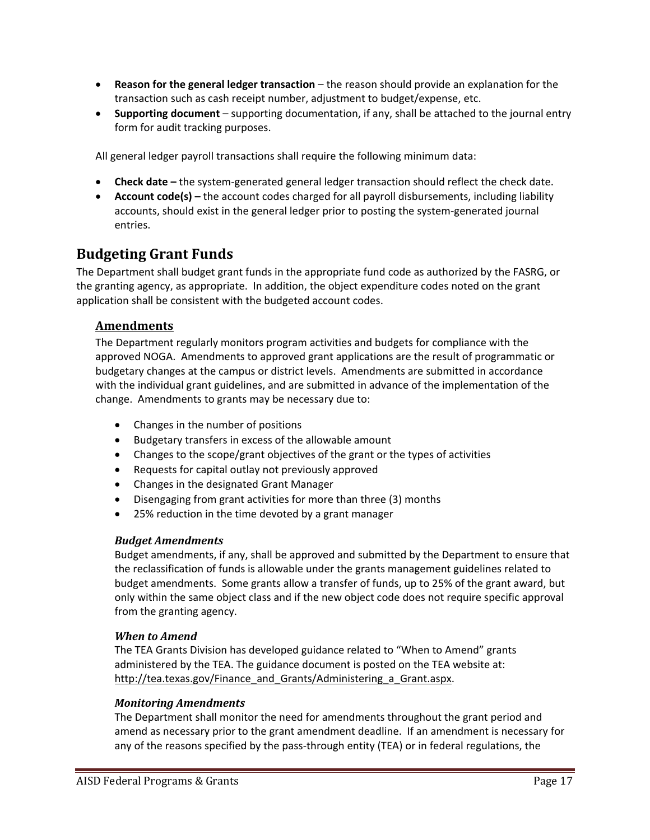- **Reason for the general ledger transaction** the reason should provide an explanation for the transaction such as cash receipt number, adjustment to budget/expense, etc.
- **Supporting document**  supporting documentation, if any, shall be attached to the journal entry form for audit tracking purposes.

All general ledger payroll transactions shall require the following minimum data:

- **Check date** the system-generated general ledger transaction should reflect the check date.
- **Account code(s)** the account codes charged for all payroll disbursements, including liability accounts, should exist in the general ledger prior to posting the system‐generated journal entries.

## **Budgeting Grant Funds**

The Department shall budget grant funds in the appropriate fund code as authorized by the FASRG, or the granting agency, as appropriate. In addition, the object expenditure codes noted on the grant application shall be consistent with the budgeted account codes.

## **Amendments**

The Department regularly monitors program activities and budgets for compliance with the approved NOGA. Amendments to approved grant applications are the result of programmatic or budgetary changes at the campus or district levels. Amendments are submitted in accordance with the individual grant guidelines, and are submitted in advance of the implementation of the change. Amendments to grants may be necessary due to:

- Changes in the number of positions
- Budgetary transfers in excess of the allowable amount
- Changes to the scope/grant objectives of the grant or the types of activities
- Requests for capital outlay not previously approved
- Changes in the designated Grant Manager
- Disengaging from grant activities for more than three (3) months
- 25% reduction in the time devoted by a grant manager

#### *Budget Amendments*

Budget amendments, if any, shall be approved and submitted by the Department to ensure that the reclassification of funds is allowable under the grants management guidelines related to budget amendments. Some grants allow a transfer of funds, up to 25% of the grant award, but only within the same object class and if the new object code does not require specific approval from the granting agency.

#### *When to Amend*

The TEA Grants Division has developed guidance related to "When to Amend" grants administered by the TEA. The guidance document is posted on the TEA website at: http://tea.texas.gov/Finance\_and\_Grants/Administering\_a\_Grant.aspx.

#### *Monitoring Amendments*

The Department shall monitor the need for amendments throughout the grant period and amend as necessary prior to the grant amendment deadline. If an amendment is necessary for any of the reasons specified by the pass-through entity (TEA) or in federal regulations, the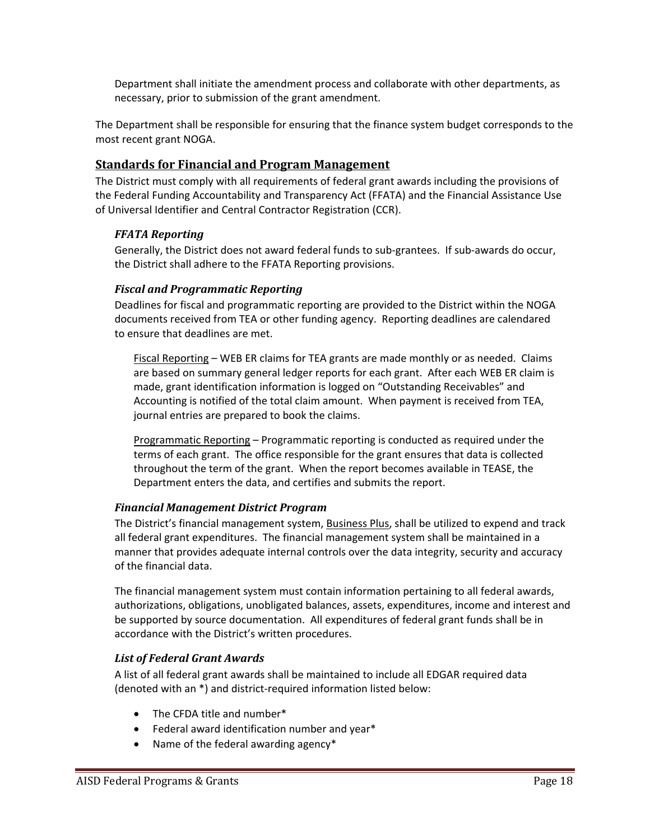Department shall initiate the amendment process and collaborate with other departments, as necessary, prior to submission of the grant amendment.

The Department shall be responsible for ensuring that the finance system budget corresponds to the most recent grant NOGA.

#### **Standards for Financial and Program Management**

The District must comply with all requirements of federal grant awards including the provisions of the Federal Funding Accountability and Transparency Act (FFATA) and the Financial Assistance Use of Universal Identifier and Central Contractor Registration (CCR).

#### *FFATA Reporting*

Generally, the District does not award federal funds to sub‐grantees. If sub‐awards do occur, the District shall adhere to the FFATA Reporting provisions.

#### *Fiscal and Programmatic Reporting*

Deadlines for fiscal and programmatic reporting are provided to the District within the NOGA documents received from TEA or other funding agency. Reporting deadlines are calendared to ensure that deadlines are met.

Fiscal Reporting – WEB ER claims for TEA grants are made monthly or as needed. Claims are based on summary general ledger reports for each grant. After each WEB ER claim is made, grant identification information is logged on "Outstanding Receivables" and Accounting is notified of the total claim amount. When payment is received from TEA, journal entries are prepared to book the claims.

Programmatic Reporting – Programmatic reporting is conducted as required under the terms of each grant. The office responsible for the grant ensures that data is collected throughout the term of the grant. When the report becomes available in TEASE, the Department enters the data, and certifies and submits the report.

#### *Financial Management District Program*

The District's financial management system, Business Plus, shall be utilized to expend and track all federal grant expenditures. The financial management system shall be maintained in a manner that provides adequate internal controls over the data integrity, security and accuracy of the financial data.

The financial management system must contain information pertaining to all federal awards, authorizations, obligations, unobligated balances, assets, expenditures, income and interest and be supported by source documentation. All expenditures of federal grant funds shall be in accordance with the District's written procedures.

## *List of Federal Grant Awards*

A list of all federal grant awards shall be maintained to include all EDGAR required data (denoted with an \*) and district‐required information listed below:

- The CFDA title and number\*
- Federal award identification number and year\*
- Name of the federal awarding agency\*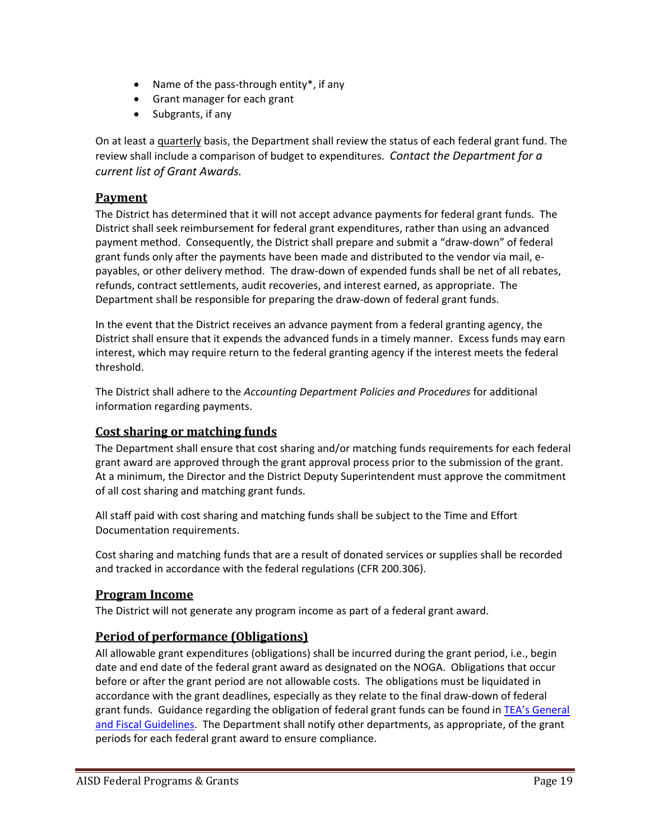- Name of the pass-through entity $^*$ , if any
- Grant manager for each grant
- Subgrants, if any

On at least a quarterly basis, the Department shall review the status of each federal grant fund. The review shall include a comparison of budget to expenditures. *Contact the Department for a current list of Grant Awards.*

#### **Payment**

The District has determined that it will not accept advance payments for federal grant funds. The District shall seek reimbursement for federal grant expenditures, rather than using an advanced payment method. Consequently, the District shall prepare and submit a "draw‐down" of federal grant funds only after the payments have been made and distributed to the vendor via mail, e‐ payables, or other delivery method. The draw‐down of expended funds shall be net of all rebates, refunds, contract settlements, audit recoveries, and interest earned, as appropriate. The Department shall be responsible for preparing the draw‐down of federal grant funds.

In the event that the District receives an advance payment from a federal granting agency, the District shall ensure that it expends the advanced funds in a timely manner. Excess funds may earn interest, which may require return to the federal granting agency if the interest meets the federal threshold.

The District shall adhere to the *Accounting Department Policies and Procedures* for additional information regarding payments.

## **Cost sharing or matching funds**

The Department shall ensure that cost sharing and/or matching funds requirements for each federal grant award are approved through the grant approval process prior to the submission of the grant. At a minimum, the Director and the District Deputy Superintendent must approve the commitment of all cost sharing and matching grant funds.

All staff paid with cost sharing and matching funds shall be subject to the Time and Effort Documentation requirements.

Cost sharing and matching funds that are a result of donated services or supplies shall be recorded and tracked in accordance with the federal regulations (CFR 200.306).

#### **Program Income**

The District will not generate any program income as part of a federal grant award.

## **Period of performance (Obligations)**

All allowable grant expenditures (obligations) shall be incurred during the grant period, i.e., begin date and end date of the federal grant award as designated on the NOGA. Obligations that occur before or after the grant period are not allowable costs. The obligations must be liquidated in accordance with the grant deadlines, especially as they relate to the final draw‐down of federal grant funds. Guidance regarding the obligation of federal grant funds can be found in TEA's General and Fiscal Guidelines. The Department shall notify other departments, as appropriate, of the grant periods for each federal grant award to ensure compliance.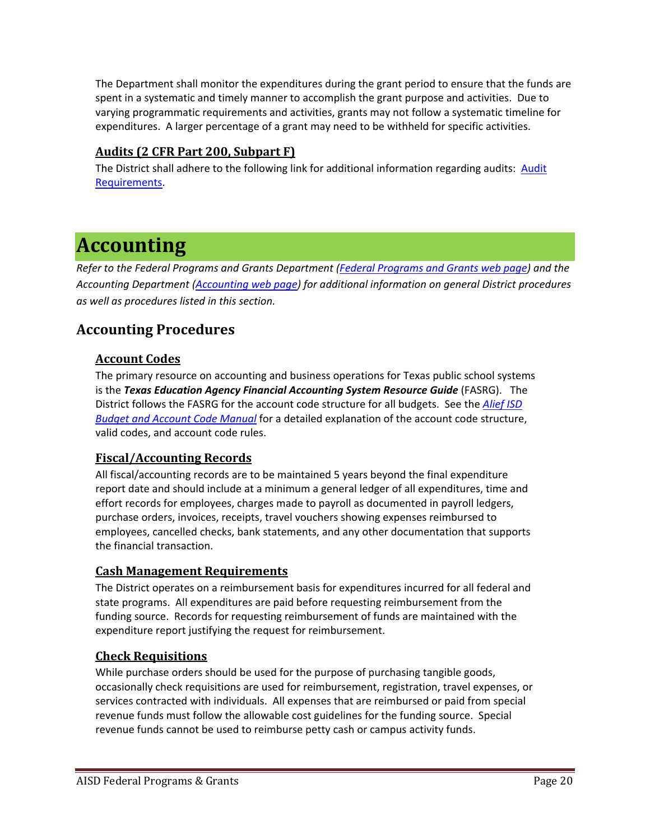The Department shall monitor the expenditures during the grant period to ensure that the funds are spent in a systematic and timely manner to accomplish the grant purpose and activities. Due to varying programmatic requirements and activities, grants may not follow a systematic timeline for expenditures. A larger percentage of a grant may need to be withheld for specific activities.

## **Audits (2 CFR Part 200, Subpart F)**

The District shall adhere to the following link for additional information regarding audits: Audit Requirements.

## **Accounting**

*Refer to the Federal Programs and Grants Department (Federal Programs and Grants web page) and the Accounting Department (Accounting web page) for additional information on general District procedures as well as procedures listed in this section.* 

## **Accounting Procedures**

## **Account Codes**

The primary resource on accounting and business operations for Texas public school systems is the *Texas Education Agency Financial Accounting System Resource Guide* (FASRG). The District follows the FASRG for the account code structure for all budgets. See the *Alief ISD Budget and Account Code Manual* for a detailed explanation of the account code structure, valid codes, and account code rules.

## **Fiscal/Accounting Records**

All fiscal/accounting records are to be maintained 5 years beyond the final expenditure report date and should include at a minimum a general ledger of all expenditures, time and effort records for employees, charges made to payroll as documented in payroll ledgers, purchase orders, invoices, receipts, travel vouchers showing expenses reimbursed to employees, cancelled checks, bank statements, and any other documentation that supports the financial transaction.

## **Cash Management Requirements**

The District operates on a reimbursement basis for expenditures incurred for all federal and state programs. All expenditures are paid before requesting reimbursement from the funding source. Records for requesting reimbursement of funds are maintained with the expenditure report justifying the request for reimbursement.

## **Check Requisitions**

While purchase orders should be used for the purpose of purchasing tangible goods, occasionally check requisitions are used for reimbursement, registration, travel expenses, or services contracted with individuals. All expenses that are reimbursed or paid from special revenue funds must follow the allowable cost guidelines for the funding source. Special revenue funds cannot be used to reimburse petty cash or campus activity funds.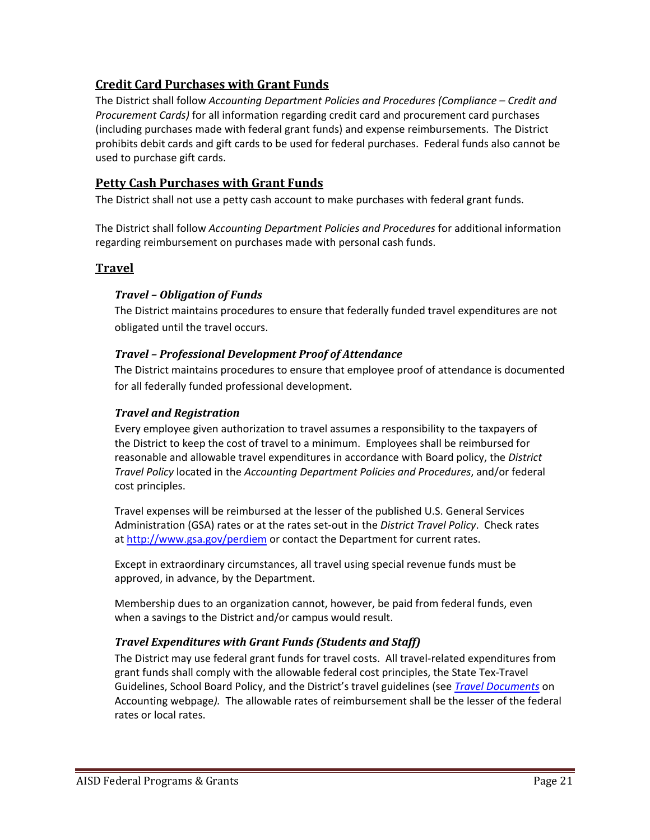## **Credit Card Purchases with Grant Funds**

The District shall follow *Accounting Department Policies and Procedures (Compliance – Credit and Procurement Cards)* for all information regarding credit card and procurement card purchases (including purchases made with federal grant funds) and expense reimbursements. The District prohibits debit cards and gift cards to be used for federal purchases. Federal funds also cannot be used to purchase gift cards.

## **Petty Cash Purchases with Grant Funds**

The District shall not use a petty cash account to make purchases with federal grant funds.

The District shall follow *Accounting Department Policies and Procedures* for additional information regarding reimbursement on purchases made with personal cash funds.

## **Travel**

#### *Travel – Obligation of Funds*

The District maintains procedures to ensure that federally funded travel expenditures are not obligated until the travel occurs.

#### *Travel – Professional Development Proof of Attendance*

The District maintains procedures to ensure that employee proof of attendance is documented for all federally funded professional development.

#### *Travel and Registration*

Every employee given authorization to travel assumes a responsibility to the taxpayers of the District to keep the cost of travel to a minimum. Employees shall be reimbursed for reasonable and allowable travel expenditures in accordance with Board policy, the *District Travel Policy* located in the *Accounting Department Policies and Procedures*, and/or federal cost principles.

Travel expenses will be reimbursed at the lesser of the published U.S. General Services Administration (GSA) rates or at the rates set‐out in the *District Travel Policy*. Check rates at http://www.gsa.gov/perdiem or contact the Department for current rates.

Except in extraordinary circumstances, all travel using special revenue funds must be approved, in advance, by the Department.

Membership dues to an organization cannot, however, be paid from federal funds, even when a savings to the District and/or campus would result.

## *Travel Expenditures with Grant Funds (Students and Staff)*

The District may use federal grant funds for travel costs. All travel‐related expenditures from grant funds shall comply with the allowable federal cost principles, the State Tex‐Travel Guidelines, School Board Policy, and the District's travel guidelines (see *Travel Documents* on Accounting webpage*).*The allowable rates of reimbursement shall be the lesser of the federal rates or local rates.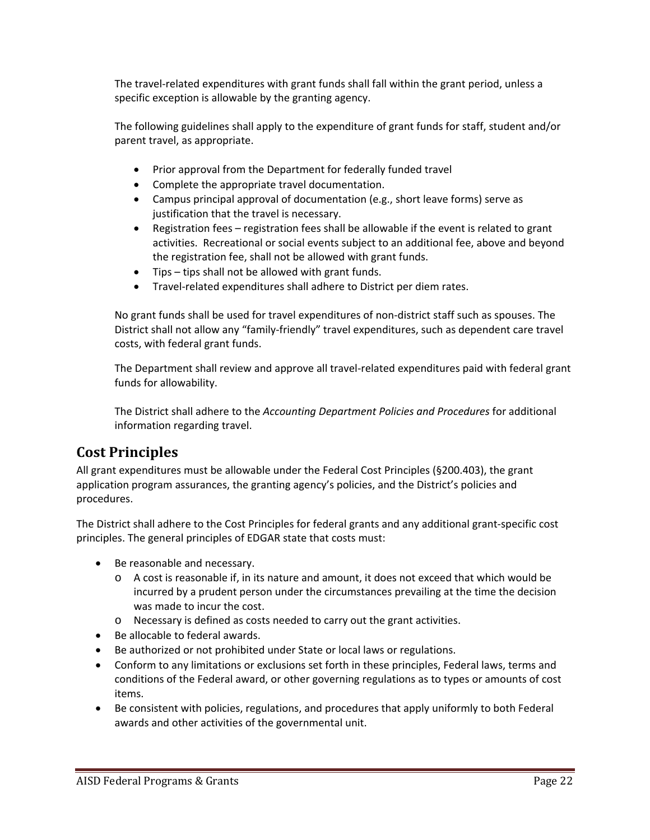The travel‐related expenditures with grant funds shall fall within the grant period, unless a specific exception is allowable by the granting agency.

The following guidelines shall apply to the expenditure of grant funds for staff, student and/or parent travel, as appropriate.

- Prior approval from the Department for federally funded travel
- Complete the appropriate travel documentation.
- Campus principal approval of documentation (e.g., short leave forms) serve as justification that the travel is necessary.
- Registration fees registration fees shall be allowable if the event is related to grant activities. Recreational or social events subject to an additional fee, above and beyond the registration fee, shall not be allowed with grant funds.
- Tips tips shall not be allowed with grant funds.
- Travel-related expenditures shall adhere to District per diem rates.

No grant funds shall be used for travel expenditures of non‐district staff such as spouses. The District shall not allow any "family‐friendly" travel expenditures, such as dependent care travel costs, with federal grant funds.

The Department shall review and approve all travel‐related expenditures paid with federal grant funds for allowability.

The District shall adhere to the *Accounting Department Policies and Procedures* for additional information regarding travel.

## **Cost Principles**

All grant expenditures must be allowable under the Federal Cost Principles (§200.403), the grant application program assurances, the granting agency's policies, and the District's policies and procedures.

The District shall adhere to the Cost Principles for federal grants and any additional grant‐specific cost principles. The general principles of EDGAR state that costs must:

- Be reasonable and necessary.
	- o A cost is reasonable if, in its nature and amount, it does not exceed that which would be incurred by a prudent person under the circumstances prevailing at the time the decision was made to incur the cost.
	- o Necessary is defined as costs needed to carry out the grant activities.
- Be allocable to federal awards.
- Be authorized or not prohibited under State or local laws or regulations.
- Conform to any limitations or exclusions set forth in these principles, Federal laws, terms and conditions of the Federal award, or other governing regulations as to types or amounts of cost items.
- Be consistent with policies, regulations, and procedures that apply uniformly to both Federal awards and other activities of the governmental unit.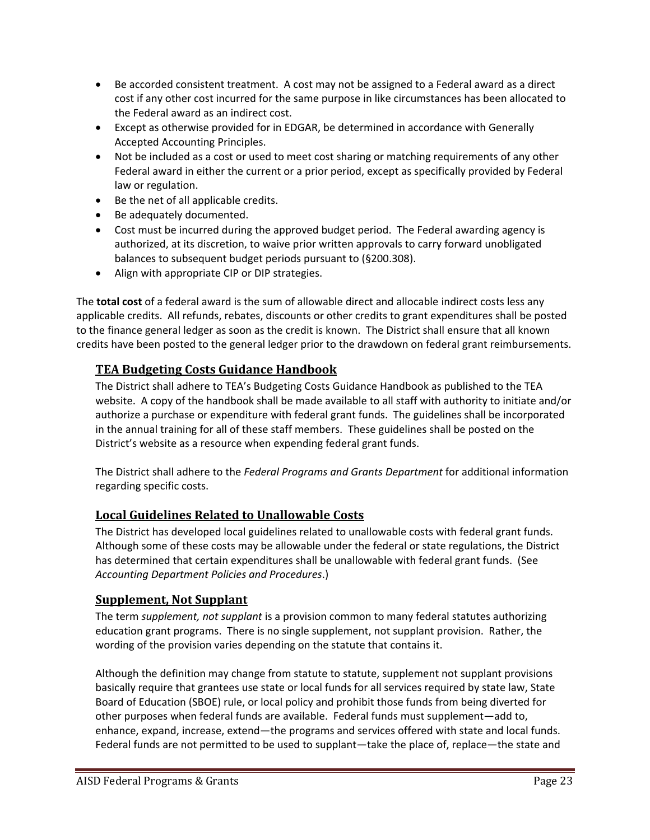- Be accorded consistent treatment. A cost may not be assigned to a Federal award as a direct cost if any other cost incurred for the same purpose in like circumstances has been allocated to the Federal award as an indirect cost.
- Except as otherwise provided for in EDGAR, be determined in accordance with Generally Accepted Accounting Principles.
- Not be included as a cost or used to meet cost sharing or matching requirements of any other Federal award in either the current or a prior period, except as specifically provided by Federal law or regulation.
- Be the net of all applicable credits.
- Be adequately documented.
- Cost must be incurred during the approved budget period. The Federal awarding agency is authorized, at its discretion, to waive prior written approvals to carry forward unobligated balances to subsequent budget periods pursuant to (§200.308).
- Align with appropriate CIP or DIP strategies.

The **total cost** of a federal award is the sum of allowable direct and allocable indirect costs less any applicable credits. All refunds, rebates, discounts or other credits to grant expenditures shall be posted to the finance general ledger as soon as the credit is known. The District shall ensure that all known credits have been posted to the general ledger prior to the drawdown on federal grant reimbursements.

## **TEA Budgeting Costs Guidance Handbook**

The District shall adhere to TEA's Budgeting Costs Guidance Handbook as published to the TEA website. A copy of the handbook shall be made available to all staff with authority to initiate and/or authorize a purchase or expenditure with federal grant funds. The guidelines shall be incorporated in the annual training for all of these staff members. These guidelines shall be posted on the District's website as a resource when expending federal grant funds.

The District shall adhere to the *Federal Programs and Grants Department* for additional information regarding specific costs.

## **Local Guidelines Related to Unallowable Costs**

The District has developed local guidelines related to unallowable costs with federal grant funds. Although some of these costs may be allowable under the federal or state regulations, the District has determined that certain expenditures shall be unallowable with federal grant funds. (See *Accounting Department Policies and Procedures*.)

## **Supplement, Not Supplant**

The term *supplement, not supplant* is a provision common to many federal statutes authorizing education grant programs. There is no single supplement, not supplant provision. Rather, the wording of the provision varies depending on the statute that contains it.

Although the definition may change from statute to statute, supplement not supplant provisions basically require that grantees use state or local funds for all services required by state law, State Board of Education (SBOE) rule, or local policy and prohibit those funds from being diverted for other purposes when federal funds are available. Federal funds must supplement—add to, enhance, expand, increase, extend—the programs and services offered with state and local funds. Federal funds are not permitted to be used to supplant—take the place of, replace—the state and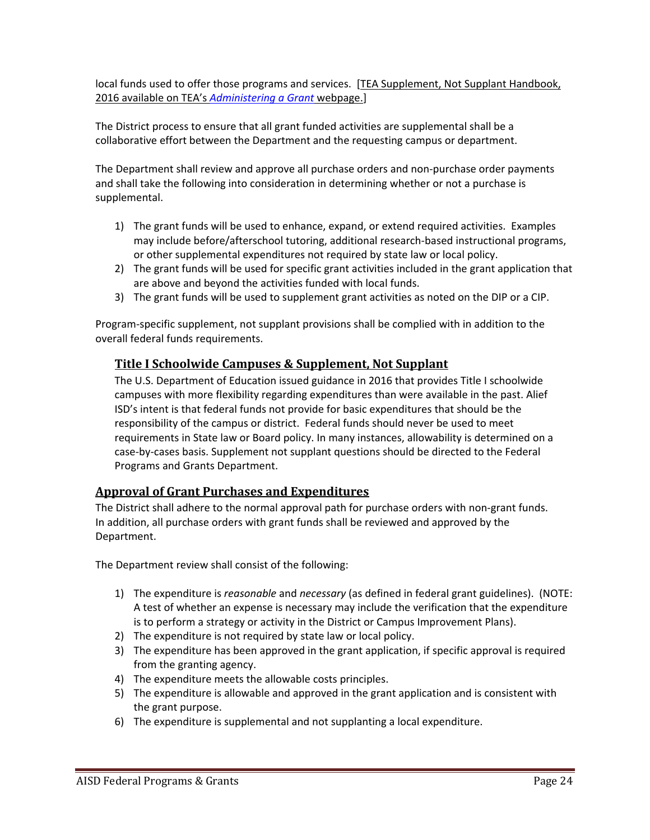local funds used to offer those programs and services. [TEA Supplement, Not Supplant Handbook, 2016 available on TEA's *Administering a Grant* webpage.]

The District process to ensure that all grant funded activities are supplemental shall be a collaborative effort between the Department and the requesting campus or department.

The Department shall review and approve all purchase orders and non‐purchase order payments and shall take the following into consideration in determining whether or not a purchase is supplemental.

- 1) The grant funds will be used to enhance, expand, or extend required activities. Examples may include before/afterschool tutoring, additional research‐based instructional programs, or other supplemental expenditures not required by state law or local policy.
- 2) The grant funds will be used for specific grant activities included in the grant application that are above and beyond the activities funded with local funds.
- 3) The grant funds will be used to supplement grant activities as noted on the DIP or a CIP.

Program‐specific supplement, not supplant provisions shall be complied with in addition to the overall federal funds requirements.

## **Title I Schoolwide Campuses & Supplement, Not Supplant**

The U.S. Department of Education issued guidance in 2016 that provides Title I schoolwide campuses with more flexibility regarding expenditures than were available in the past. Alief ISD's intent is that federal funds not provide for basic expenditures that should be the responsibility of the campus or district. Federal funds should never be used to meet requirements in State law or Board policy. In many instances, allowability is determined on a case‐by‐cases basis. Supplement not supplant questions should be directed to the Federal Programs and Grants Department.

## **Approval of Grant Purchases and Expenditures**

The District shall adhere to the normal approval path for purchase orders with non‐grant funds. In addition, all purchase orders with grant funds shall be reviewed and approved by the Department.

The Department review shall consist of the following:

- 1) The expenditure is *reasonable* and *necessary* (as defined in federal grant guidelines). (NOTE: A test of whether an expense is necessary may include the verification that the expenditure is to perform a strategy or activity in the District or Campus Improvement Plans).
- 2) The expenditure is not required by state law or local policy.
- 3) The expenditure has been approved in the grant application, if specific approval is required from the granting agency.
- 4) The expenditure meets the allowable costs principles.
- 5) The expenditure is allowable and approved in the grant application and is consistent with the grant purpose.
- 6) The expenditure is supplemental and not supplanting a local expenditure.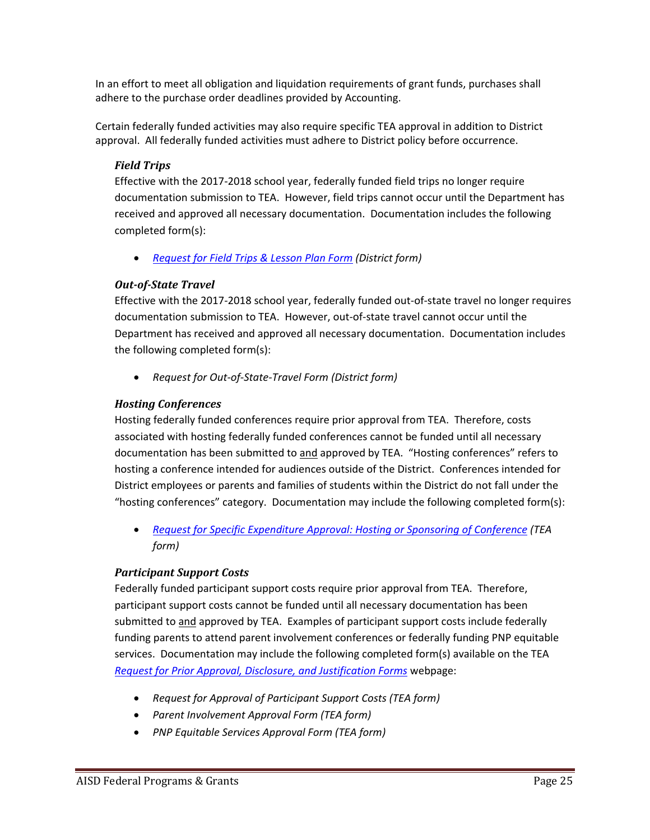In an effort to meet all obligation and liquidation requirements of grant funds, purchases shall adhere to the purchase order deadlines provided by Accounting.

Certain federally funded activities may also require specific TEA approval in addition to District approval. All federally funded activities must adhere to District policy before occurrence.

#### *Field Trips*

Effective with the 2017‐2018 school year, federally funded field trips no longer require documentation submission to TEA. However, field trips cannot occur until the Department has received and approved all necessary documentation. Documentation includes the following completed form(s):

*Request for Field Trips & Lesson Plan Form (District form)*

#### *Out‐of‐State Travel*

Effective with the 2017‐2018 school year, federally funded out‐of‐state travel no longer requires documentation submission to TEA. However, out‐of‐state travel cannot occur until the Department has received and approved all necessary documentation. Documentation includes the following completed form(s):

*Request for Out‐of‐State‐Travel Form (District form)* 

#### *Hosting Conferences*

Hosting federally funded conferences require prior approval from TEA. Therefore, costs associated with hosting federally funded conferences cannot be funded until all necessary documentation has been submitted to and approved by TEA. "Hosting conferences" refers to hosting a conference intended for audiences outside of the District. Conferences intended for District employees or parents and families of students within the District do not fall under the "hosting conferences" category. Documentation may include the following completed form(s):

 *Request for Specific Expenditure Approval: Hosting or Sponsoring of Conference (TEA form)* 

#### *Participant Support Costs*

Federally funded participant support costs require prior approval from TEA. Therefore, participant support costs cannot be funded until all necessary documentation has been submitted to and approved by TEA. Examples of participant support costs include federally funding parents to attend parent involvement conferences or federally funding PNP equitable services. Documentation may include the following completed form(s) available on the TEA *Request for Prior Approval, Disclosure, and Justification Forms* webpage:

- *Request for Approval of Participant Support Costs (TEA form)*
- *Parent Involvement Approval Form (TEA form)*
- *PNP Equitable Services Approval Form (TEA form)*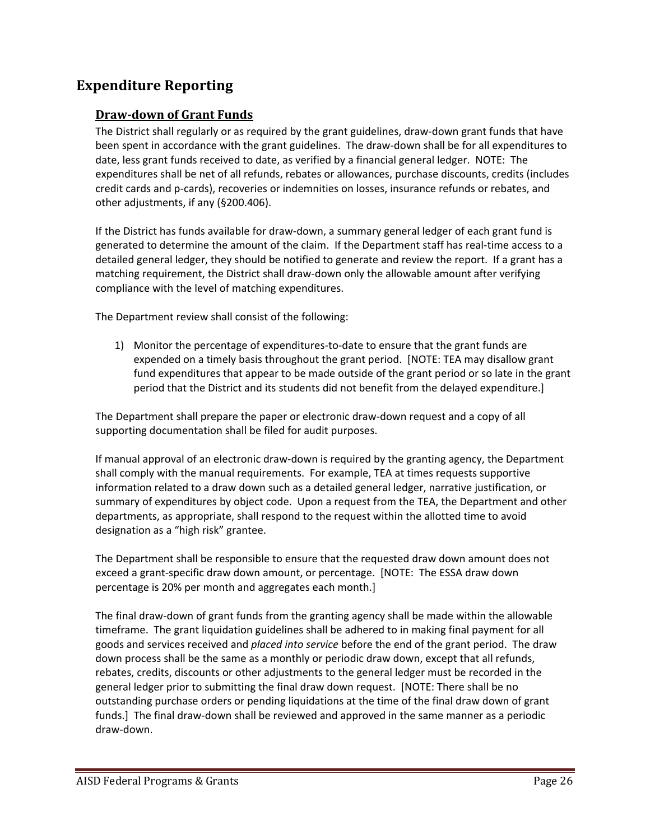## **Expenditure Reporting**

#### **Draw‐down of Grant Funds**

The District shall regularly or as required by the grant guidelines, draw‐down grant funds that have been spent in accordance with the grant guidelines. The draw‐down shall be for all expenditures to date, less grant funds received to date, as verified by a financial general ledger. NOTE: The expenditures shall be net of all refunds, rebates or allowances, purchase discounts, credits (includes credit cards and p‐cards), recoveries or indemnities on losses, insurance refunds or rebates, and other adjustments, if any (§200.406).

If the District has funds available for draw‐down, a summary general ledger of each grant fund is generated to determine the amount of the claim. If the Department staff has real‐time access to a detailed general ledger, they should be notified to generate and review the report. If a grant has a matching requirement, the District shall draw‐down only the allowable amount after verifying compliance with the level of matching expenditures.

The Department review shall consist of the following:

1) Monitor the percentage of expenditures‐to‐date to ensure that the grant funds are expended on a timely basis throughout the grant period. [NOTE: TEA may disallow grant fund expenditures that appear to be made outside of the grant period or so late in the grant period that the District and its students did not benefit from the delayed expenditure.]

The Department shall prepare the paper or electronic draw‐down request and a copy of all supporting documentation shall be filed for audit purposes.

If manual approval of an electronic draw‐down is required by the granting agency, the Department shall comply with the manual requirements. For example, TEA at times requests supportive information related to a draw down such as a detailed general ledger, narrative justification, or summary of expenditures by object code. Upon a request from the TEA, the Department and other departments, as appropriate, shall respond to the request within the allotted time to avoid designation as a "high risk" grantee.

The Department shall be responsible to ensure that the requested draw down amount does not exceed a grant‐specific draw down amount, or percentage. [NOTE: The ESSA draw down percentage is 20% per month and aggregates each month.]

The final draw‐down of grant funds from the granting agency shall be made within the allowable timeframe. The grant liquidation guidelines shall be adhered to in making final payment for all goods and services received and *placed into service* before the end of the grant period. The draw down process shall be the same as a monthly or periodic draw down, except that all refunds, rebates, credits, discounts or other adjustments to the general ledger must be recorded in the general ledger prior to submitting the final draw down request. [NOTE: There shall be no outstanding purchase orders or pending liquidations at the time of the final draw down of grant funds.] The final draw‐down shall be reviewed and approved in the same manner as a periodic draw‐down.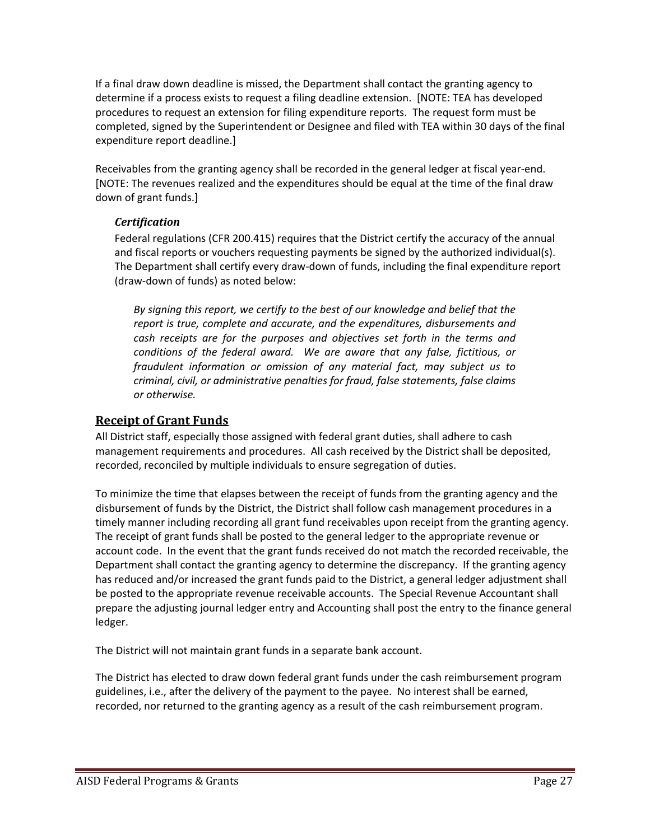If a final draw down deadline is missed, the Department shall contact the granting agency to determine if a process exists to request a filing deadline extension. [NOTE: TEA has developed procedures to request an extension for filing expenditure reports. The request form must be completed, signed by the Superintendent or Designee and filed with TEA within 30 days of the final expenditure report deadline.]

Receivables from the granting agency shall be recorded in the general ledger at fiscal year‐end. [NOTE: The revenues realized and the expenditures should be equal at the time of the final draw down of grant funds.]

#### *Certification*

Federal regulations (CFR 200.415) requires that the District certify the accuracy of the annual and fiscal reports or vouchers requesting payments be signed by the authorized individual(s). The Department shall certify every draw‐down of funds, including the final expenditure report (draw‐down of funds) as noted below:

*By signing this report, we certify to the best of our knowledge and belief that the report is true, complete and accurate, and the expenditures, disbursements and cash receipts are for the purposes and objectives set forth in the terms and conditions of the federal award. We are aware that any false, fictitious, or fraudulent information or omission of any material fact, may subject us to criminal, civil, or administrative penalties for fraud, false statements, false claims or otherwise.* 

## **Receipt of Grant Funds**

All District staff, especially those assigned with federal grant duties, shall adhere to cash management requirements and procedures. All cash received by the District shall be deposited, recorded, reconciled by multiple individuals to ensure segregation of duties.

To minimize the time that elapses between the receipt of funds from the granting agency and the disbursement of funds by the District, the District shall follow cash management procedures in a timely manner including recording all grant fund receivables upon receipt from the granting agency. The receipt of grant funds shall be posted to the general ledger to the appropriate revenue or account code. In the event that the grant funds received do not match the recorded receivable, the Department shall contact the granting agency to determine the discrepancy. If the granting agency has reduced and/or increased the grant funds paid to the District, a general ledger adjustment shall be posted to the appropriate revenue receivable accounts. The Special Revenue Accountant shall prepare the adjusting journal ledger entry and Accounting shall post the entry to the finance general ledger.

The District will not maintain grant funds in a separate bank account.

The District has elected to draw down federal grant funds under the cash reimbursement program guidelines, i.e., after the delivery of the payment to the payee. No interest shall be earned, recorded, nor returned to the granting agency as a result of the cash reimbursement program.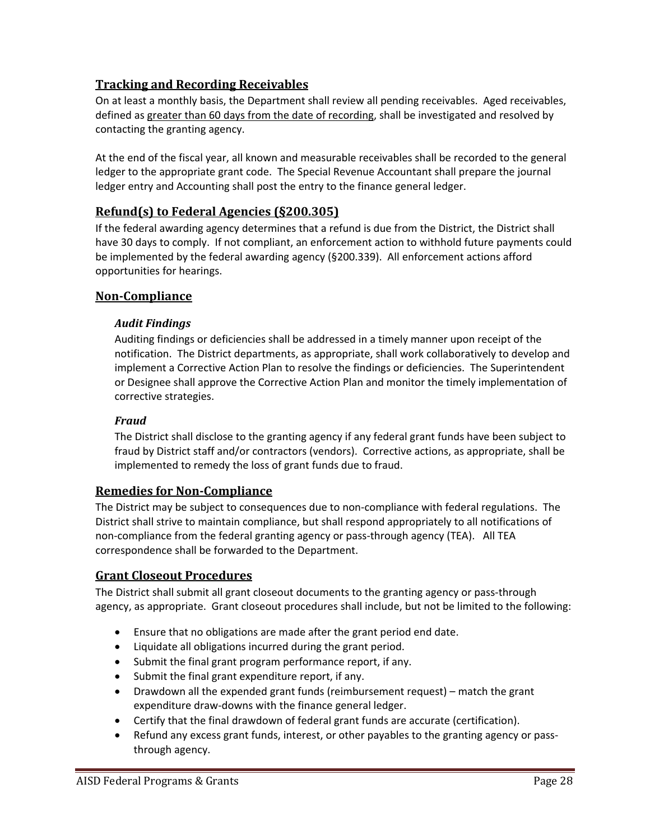## **Tracking and Recording Receivables**

On at least a monthly basis, the Department shall review all pending receivables. Aged receivables, defined as greater than 60 days from the date of recording, shall be investigated and resolved by contacting the granting agency.

At the end of the fiscal year, all known and measurable receivables shall be recorded to the general ledger to the appropriate grant code. The Special Revenue Accountant shall prepare the journal ledger entry and Accounting shall post the entry to the finance general ledger.

## **Refund(s) to Federal Agencies (§200.305)**

If the federal awarding agency determines that a refund is due from the District, the District shall have 30 days to comply. If not compliant, an enforcement action to withhold future payments could be implemented by the federal awarding agency (§200.339). All enforcement actions afford opportunities for hearings.

## **Non‐Compliance**

#### *Audit Findings*

Auditing findings or deficiencies shall be addressed in a timely manner upon receipt of the notification. The District departments, as appropriate, shall work collaboratively to develop and implement a Corrective Action Plan to resolve the findings or deficiencies. The Superintendent or Designee shall approve the Corrective Action Plan and monitor the timely implementation of corrective strategies.

#### *Fraud*

The District shall disclose to the granting agency if any federal grant funds have been subject to fraud by District staff and/or contractors (vendors). Corrective actions, as appropriate, shall be implemented to remedy the loss of grant funds due to fraud.

## **Remedies for Non‐Compliance**

The District may be subject to consequences due to non‐compliance with federal regulations. The District shall strive to maintain compliance, but shall respond appropriately to all notifications of non-compliance from the federal granting agency or pass-through agency (TEA). All TEA correspondence shall be forwarded to the Department.

## **Grant Closeout Procedures**

The District shall submit all grant closeout documents to the granting agency or pass-through agency, as appropriate. Grant closeout procedures shall include, but not be limited to the following:

- Ensure that no obligations are made after the grant period end date.
- Liquidate all obligations incurred during the grant period.
- Submit the final grant program performance report, if any.
- Submit the final grant expenditure report, if any.
- Drawdown all the expended grant funds (reimbursement request) match the grant expenditure draw‐downs with the finance general ledger.
- Certify that the final drawdown of federal grant funds are accurate (certification).
- Refund any excess grant funds, interest, or other payables to the granting agency or passthrough agency.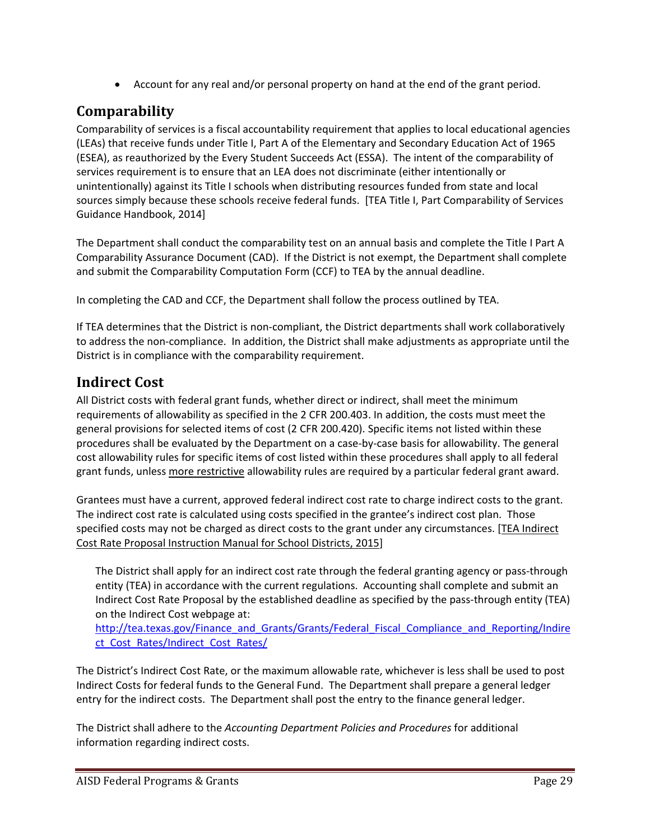Account for any real and/or personal property on hand at the end of the grant period.

## **Comparability**

Comparability of services is a fiscal accountability requirement that applies to local educational agencies (LEAs) that receive funds under Title I, Part A of the Elementary and Secondary Education Act of 1965 (ESEA), as reauthorized by the Every Student Succeeds Act (ESSA). The intent of the comparability of services requirement is to ensure that an LEA does not discriminate (either intentionally or unintentionally) against its Title I schools when distributing resources funded from state and local sources simply because these schools receive federal funds. [TEA Title I, Part Comparability of Services Guidance Handbook, 2014]

The Department shall conduct the comparability test on an annual basis and complete the Title I Part A Comparability Assurance Document (CAD). If the District is not exempt, the Department shall complete and submit the Comparability Computation Form (CCF) to TEA by the annual deadline.

In completing the CAD and CCF, the Department shall follow the process outlined by TEA.

If TEA determines that the District is non‐compliant, the District departments shall work collaboratively to address the non‐compliance. In addition, the District shall make adjustments as appropriate until the District is in compliance with the comparability requirement.

## **Indirect Cost**

All District costs with federal grant funds, whether direct or indirect, shall meet the minimum requirements of allowability as specified in the 2 CFR 200.403. In addition, the costs must meet the general provisions for selected items of cost (2 CFR 200.420). Specific items not listed within these procedures shall be evaluated by the Department on a case‐by‐case basis for allowability. The general cost allowability rules for specific items of cost listed within these procedures shall apply to all federal grant funds, unless more restrictive allowability rules are required by a particular federal grant award.

Grantees must have a current, approved federal indirect cost rate to charge indirect costs to the grant. The indirect cost rate is calculated using costs specified in the grantee's indirect cost plan. Those specified costs may not be charged as direct costs to the grant under any circumstances. [TEA Indirect Cost Rate Proposal Instruction Manual for School Districts, 2015]

The District shall apply for an indirect cost rate through the federal granting agency or pass‐through entity (TEA) in accordance with the current regulations. Accounting shall complete and submit an Indirect Cost Rate Proposal by the established deadline as specified by the pass‐through entity (TEA) on the Indirect Cost webpage at:

http://tea.texas.gov/Finance and Grants/Grants/Federal Fiscal Compliance and Reporting/Indire ct Cost Rates/Indirect Cost Rates/

The District's Indirect Cost Rate, or the maximum allowable rate, whichever is less shall be used to post Indirect Costs for federal funds to the General Fund. The Department shall prepare a general ledger entry for the indirect costs. The Department shall post the entry to the finance general ledger.

The District shall adhere to the *Accounting Department Policies and Procedures* for additional information regarding indirect costs.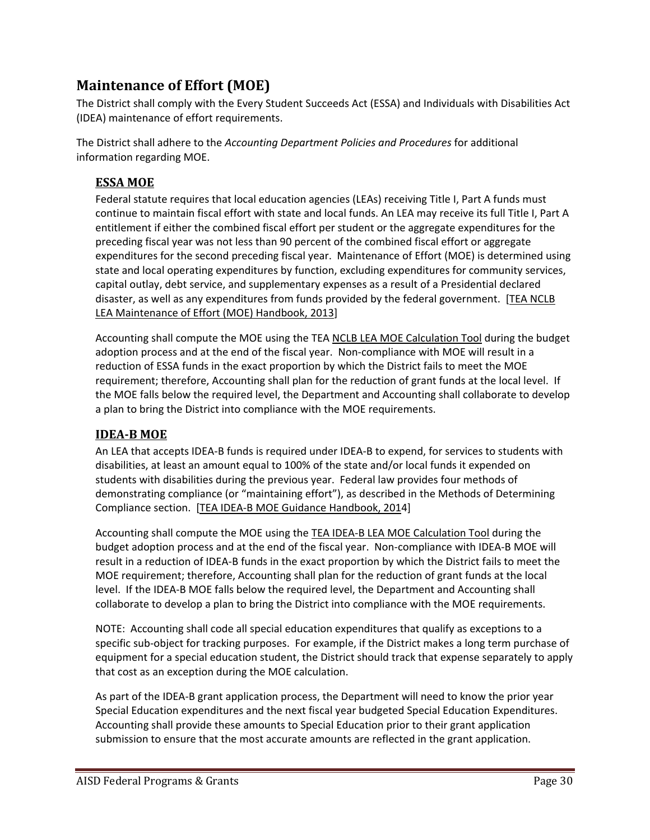## **Maintenance of Effort (MOE)**

The District shall comply with the Every Student Succeeds Act (ESSA) and Individuals with Disabilities Act (IDEA) maintenance of effort requirements.

The District shall adhere to the *Accounting Department Policies and Procedures* for additional information regarding MOE.

## **ESSA MOE**

Federal statute requires that local education agencies (LEAs) receiving Title I, Part A funds must continue to maintain fiscal effort with state and local funds. An LEA may receive its full Title I, Part A entitlement if either the combined fiscal effort per student or the aggregate expenditures for the preceding fiscal year was not less than 90 percent of the combined fiscal effort or aggregate expenditures for the second preceding fiscal year. Maintenance of Effort (MOE) is determined using state and local operating expenditures by function, excluding expenditures for community services, capital outlay, debt service, and supplementary expenses as a result of a Presidential declared disaster, as well as any expenditures from funds provided by the federal government. [TEA NCLB LEA Maintenance of Effort (MOE) Handbook, 2013]

Accounting shall compute the MOE using the TEA NCLB LEA MOE Calculation Tool during the budget adoption process and at the end of the fiscal year. Non‐compliance with MOE will result in a reduction of ESSA funds in the exact proportion by which the District fails to meet the MOE requirement; therefore, Accounting shall plan for the reduction of grant funds at the local level. If the MOE falls below the required level, the Department and Accounting shall collaborate to develop a plan to bring the District into compliance with the MOE requirements.

## **IDEA‐B MOE**

An LEA that accepts IDEA‐B funds is required under IDEA‐B to expend, for services to students with disabilities, at least an amount equal to 100% of the state and/or local funds it expended on students with disabilities during the previous year. Federal law provides four methods of demonstrating compliance (or "maintaining effort"), as described in the Methods of Determining Compliance section. [TEA IDEA‐B MOE Guidance Handbook, 2014]

Accounting shall compute the MOE using the TEA IDEA‐B LEA MOE Calculation Tool during the budget adoption process and at the end of the fiscal year. Non‐compliance with IDEA‐B MOE will result in a reduction of IDEA‐B funds in the exact proportion by which the District fails to meet the MOE requirement; therefore, Accounting shall plan for the reduction of grant funds at the local level. If the IDEA‐B MOE falls below the required level, the Department and Accounting shall collaborate to develop a plan to bring the District into compliance with the MOE requirements.

NOTE: Accounting shall code all special education expenditures that qualify as exceptions to a specific sub‐object for tracking purposes. For example, if the District makes a long term purchase of equipment for a special education student, the District should track that expense separately to apply that cost as an exception during the MOE calculation.

As part of the IDEA‐B grant application process, the Department will need to know the prior year Special Education expenditures and the next fiscal year budgeted Special Education Expenditures. Accounting shall provide these amounts to Special Education prior to their grant application submission to ensure that the most accurate amounts are reflected in the grant application.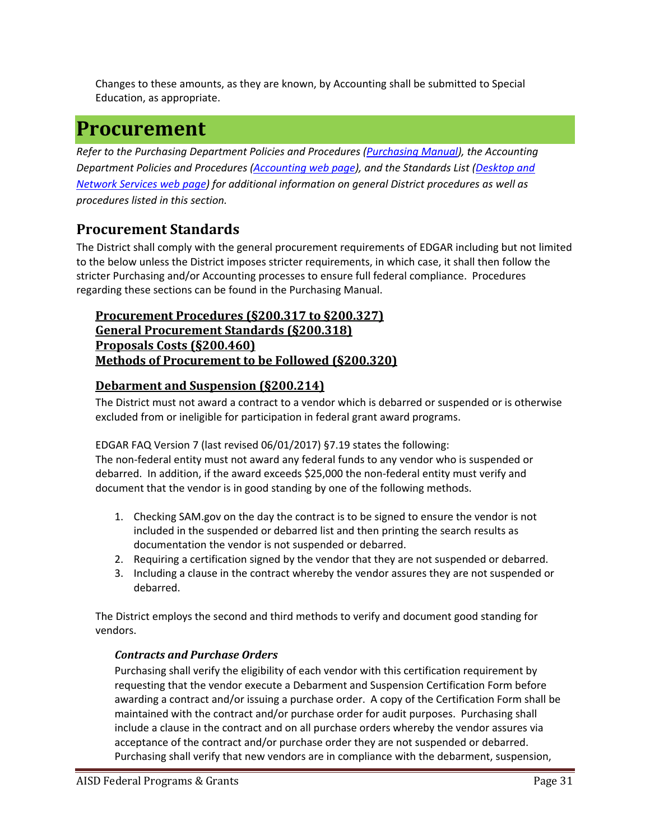Changes to these amounts, as they are known, by Accounting shall be submitted to Special Education, as appropriate.

## **Procurement**

*Refer to the Purchasing Department Policies and Procedures (Purchasing Manual), the Accounting Department Policies and Procedures (Accounting web page), and the Standards List (Desktop and Network Services web page) for additional information on general District procedures as well as procedures listed in this section.* 

## **Procurement Standards**

The District shall comply with the general procurement requirements of EDGAR including but not limited to the below unless the District imposes stricter requirements, in which case, it shall then follow the stricter Purchasing and/or Accounting processes to ensure full federal compliance. Procedures regarding these sections can be found in the Purchasing Manual.

## **Procurement Procedures (§200.317 to §200.327) General Procurement Standards (§200.318) Proposals Costs (§200.460) Methods of Procurement to be Followed (§200.320)**

## **Debarment and Suspension (§200.214)**

The District must not award a contract to a vendor which is debarred or suspended or is otherwise excluded from or ineligible for participation in federal grant award programs.

EDGAR FAQ Version 7 (last revised 06/01/2017) §7.19 states the following: The non‐federal entity must not award any federal funds to any vendor who is suspended or debarred. In addition, if the award exceeds \$25,000 the non-federal entity must verify and document that the vendor is in good standing by one of the following methods.

- 1. Checking SAM.gov on the day the contract is to be signed to ensure the vendor is not included in the suspended or debarred list and then printing the search results as documentation the vendor is not suspended or debarred.
- 2. Requiring a certification signed by the vendor that they are not suspended or debarred.
- 3. Including a clause in the contract whereby the vendor assures they are not suspended or debarred.

The District employs the second and third methods to verify and document good standing for vendors.

#### *Contracts and Purchase Orders*

Purchasing shall verify the eligibility of each vendor with this certification requirement by requesting that the vendor execute a Debarment and Suspension Certification Form before awarding a contract and/or issuing a purchase order. A copy of the Certification Form shall be maintained with the contract and/or purchase order for audit purposes. Purchasing shall include a clause in the contract and on all purchase orders whereby the vendor assures via acceptance of the contract and/or purchase order they are not suspended or debarred. Purchasing shall verify that new vendors are in compliance with the debarment, suspension,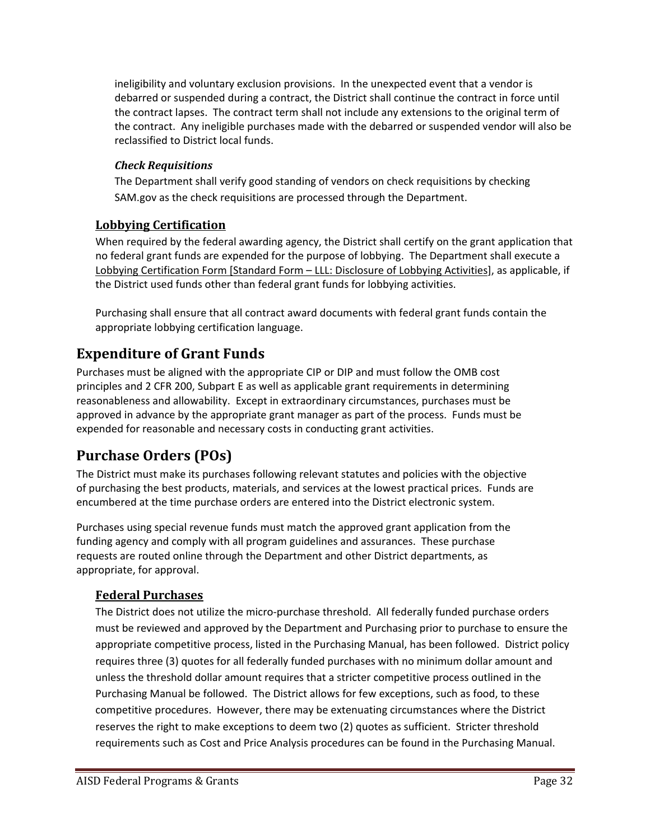ineligibility and voluntary exclusion provisions. In the unexpected event that a vendor is debarred or suspended during a contract, the District shall continue the contract in force until the contract lapses. The contract term shall not include any extensions to the original term of the contract. Any ineligible purchases made with the debarred or suspended vendor will also be reclassified to District local funds.

## *Check Requisitions*

The Department shall verify good standing of vendors on check requisitions by checking SAM.gov as the check requisitions are processed through the Department.

## **Lobbying Certification**

When required by the federal awarding agency, the District shall certify on the grant application that no federal grant funds are expended for the purpose of lobbying. The Department shall execute a Lobbying Certification Form [Standard Form – LLL: Disclosure of Lobbying Activities], as applicable, if the District used funds other than federal grant funds for lobbying activities.

Purchasing shall ensure that all contract award documents with federal grant funds contain the appropriate lobbying certification language.

## **Expenditure of Grant Funds**

Purchases must be aligned with the appropriate CIP or DIP and must follow the OMB cost principles and 2 CFR 200, Subpart E as well as applicable grant requirements in determining reasonableness and allowability. Except in extraordinary circumstances, purchases must be approved in advance by the appropriate grant manager as part of the process. Funds must be expended for reasonable and necessary costs in conducting grant activities.

## **Purchase Orders (POs)**

The District must make its purchases following relevant statutes and policies with the objective of purchasing the best products, materials, and services at the lowest practical prices. Funds are encumbered at the time purchase orders are entered into the District electronic system.

Purchases using special revenue funds must match the approved grant application from the funding agency and comply with all program guidelines and assurances. These purchase requests are routed online through the Department and other District departments, as appropriate, for approval.

## **Federal Purchases**

The District does not utilize the micro-purchase threshold. All federally funded purchase orders must be reviewed and approved by the Department and Purchasing prior to purchase to ensure the appropriate competitive process, listed in the Purchasing Manual, has been followed. District policy requires three (3) quotes for all federally funded purchases with no minimum dollar amount and unless the threshold dollar amount requires that a stricter competitive process outlined in the Purchasing Manual be followed. The District allows for few exceptions, such as food, to these competitive procedures. However, there may be extenuating circumstances where the District reserves the right to make exceptions to deem two (2) quotes as sufficient. Stricter threshold requirements such as Cost and Price Analysis procedures can be found in the Purchasing Manual.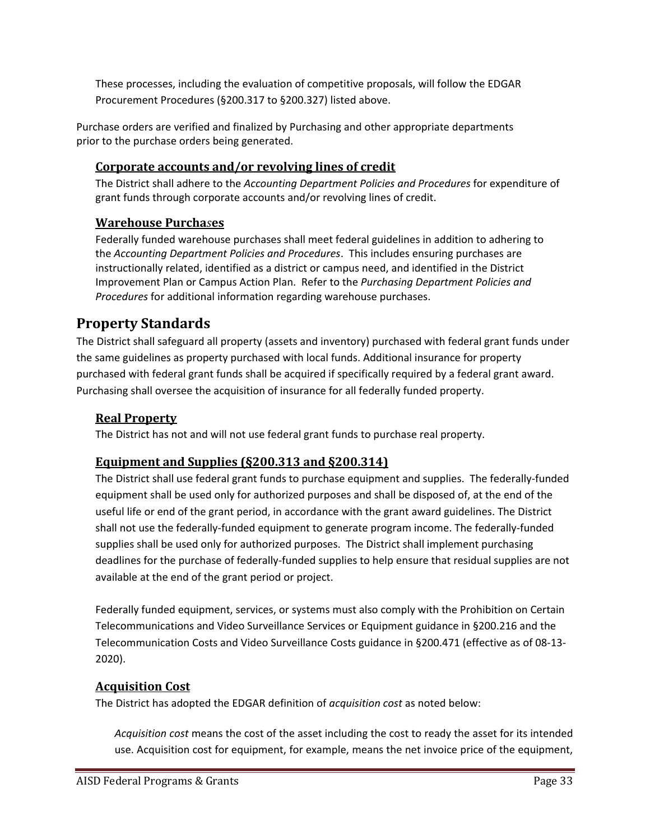These processes, including the evaluation of competitive proposals, will follow the EDGAR Procurement Procedures (§200.317 to §200.327) listed above.

Purchase orders are verified and finalized by Purchasing and other appropriate departments prior to the purchase orders being generated.

## **Corporate accounts and/or revolving lines of credit**

The District shall adhere to the *Accounting Department Policies and Procedures* for expenditure of grant funds through corporate accounts and/or revolving lines of credit.

## **Warehouse Purcha***s***es**

Federally funded warehouse purchases shall meet federal guidelines in addition to adhering to the *Accounting Department Policies and Procedures*. This includes ensuring purchases are instructionally related, identified as a district or campus need, and identified in the District Improvement Plan or Campus Action Plan. Refer to the *Purchasing Department Policies and Procedures* for additional information regarding warehouse purchases.

## **Property Standards**

The District shall safeguard all property (assets and inventory) purchased with federal grant funds under the same guidelines as property purchased with local funds. Additional insurance for property purchased with federal grant funds shall be acquired if specifically required by a federal grant award. Purchasing shall oversee the acquisition of insurance for all federally funded property.

#### **Real Property**

The District has not and will not use federal grant funds to purchase real property.

## **Equipment and Supplies (§200.313 and §200.314)**

The District shall use federal grant funds to purchase equipment and supplies. The federally‐funded equipment shall be used only for authorized purposes and shall be disposed of, at the end of the useful life or end of the grant period, in accordance with the grant award guidelines. The District shall not use the federally‐funded equipment to generate program income. The federally‐funded supplies shall be used only for authorized purposes. The District shall implement purchasing deadlines for the purchase of federally‐funded supplies to help ensure that residual supplies are not available at the end of the grant period or project.

Federally funded equipment, services, or systems must also comply with the Prohibition on Certain Telecommunications and Video Surveillance Services or Equipment guidance in §200.216 and the Telecommunication Costs and Video Surveillance Costs guidance in §200.471 (effective as of 08‐13‐ 2020).

#### **Acquisition Cost**

The District has adopted the EDGAR definition of *acquisition cost* as noted below:

*Acquisition cost* means the cost of the asset including the cost to ready the asset for its intended use. Acquisition cost for equipment, for example, means the net invoice price of the equipment,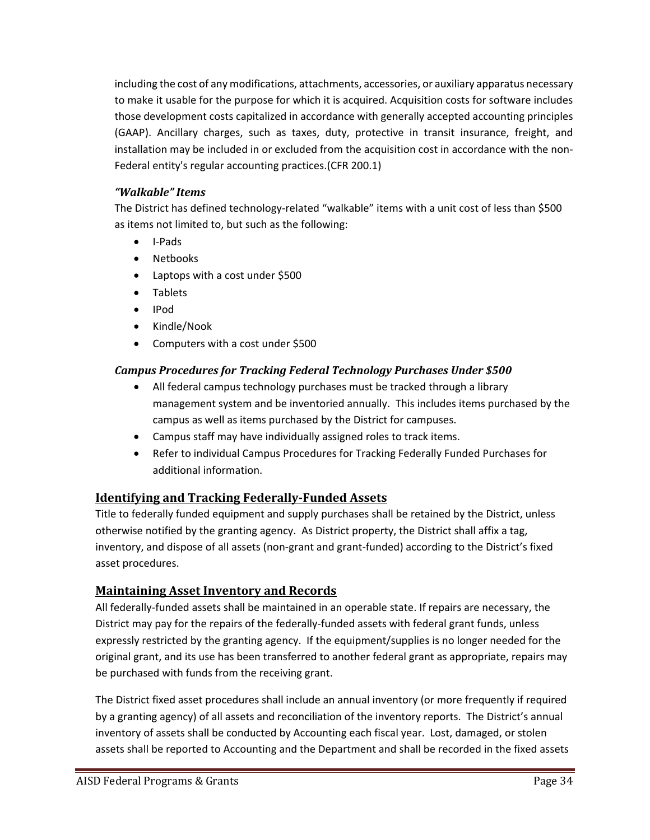including the cost of any modifications, attachments, accessories, or auxiliary apparatus necessary to make it usable for the purpose for which it is acquired. Acquisition costs for software includes those development costs capitalized in accordance with generally accepted accounting principles (GAAP). Ancillary charges, such as taxes, duty, protective in transit insurance, freight, and installation may be included in or excluded from the acquisition cost in accordance with the non‐ Federal entity's regular accounting practices.(CFR 200.1)

#### *"Walkable" Items*

The District has defined technology-related "walkable" items with a unit cost of less than \$500 as items not limited to, but such as the following:

- I-Pads
- Netbooks
- Laptops with a cost under \$500
- Tablets
- IPod
- Kindle/Nook
- Computers with a cost under \$500

## *Campus Procedures for Tracking Federal Technology Purchases Under \$500*

- All federal campus technology purchases must be tracked through a library management system and be inventoried annually. This includes items purchased by the campus as well as items purchased by the District for campuses.
- Campus staff may have individually assigned roles to track items.
- Refer to individual Campus Procedures for Tracking Federally Funded Purchases for additional information.

## **Identifying and Tracking Federally‐Funded Assets**

Title to federally funded equipment and supply purchases shall be retained by the District, unless otherwise notified by the granting agency. As District property, the District shall affix a tag, inventory, and dispose of all assets (non‐grant and grant‐funded) according to the District's fixed asset procedures.

## **Maintaining Asset Inventory and Records**

All federally‐funded assets shall be maintained in an operable state. If repairs are necessary, the District may pay for the repairs of the federally-funded assets with federal grant funds, unless expressly restricted by the granting agency. If the equipment/supplies is no longer needed for the original grant, and its use has been transferred to another federal grant as appropriate, repairs may be purchased with funds from the receiving grant.

The District fixed asset procedures shall include an annual inventory (or more frequently if required by a granting agency) of all assets and reconciliation of the inventory reports. The District's annual inventory of assets shall be conducted by Accounting each fiscal year. Lost, damaged, or stolen assets shall be reported to Accounting and the Department and shall be recorded in the fixed assets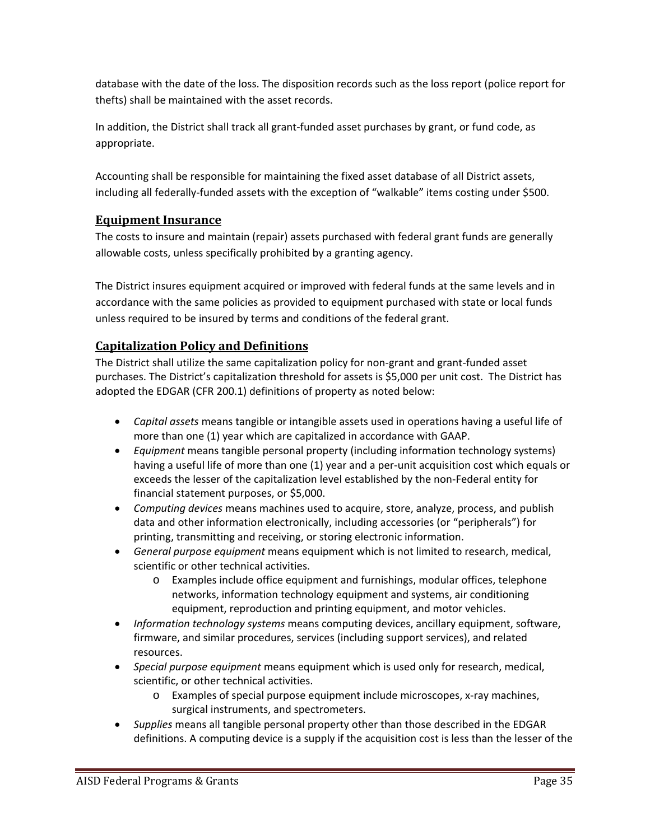database with the date of the loss. The disposition records such as the loss report (police report for thefts) shall be maintained with the asset records.

In addition, the District shall track all grant‐funded asset purchases by grant, or fund code, as appropriate.

Accounting shall be responsible for maintaining the fixed asset database of all District assets, including all federally‐funded assets with the exception of "walkable" items costing under \$500.

## **Equipment Insurance**

The costs to insure and maintain (repair) assets purchased with federal grant funds are generally allowable costs, unless specifically prohibited by a granting agency.

The District insures equipment acquired or improved with federal funds at the same levels and in accordance with the same policies as provided to equipment purchased with state or local funds unless required to be insured by terms and conditions of the federal grant.

## **Capitalization Policy and Definitions**

The District shall utilize the same capitalization policy for non‐grant and grant‐funded asset purchases. The District's capitalization threshold for assets is \$5,000 per unit cost. The District has adopted the EDGAR (CFR 200.1) definitions of property as noted below:

- *Capital assets* means tangible or intangible assets used in operations having a useful life of more than one (1) year which are capitalized in accordance with GAAP.
- *Equipment* means tangible personal property (including information technology systems) having a useful life of more than one (1) year and a per-unit acquisition cost which equals or exceeds the lesser of the capitalization level established by the non‐Federal entity for financial statement purposes, or \$5,000.
- *Computing devices* means machines used to acquire, store, analyze, process, and publish data and other information electronically, including accessories (or "peripherals") for printing, transmitting and receiving, or storing electronic information.
- *General purpose equipment* means equipment which is not limited to research, medical, scientific or other technical activities.
	- o Examples include office equipment and furnishings, modular offices, telephone networks, information technology equipment and systems, air conditioning equipment, reproduction and printing equipment, and motor vehicles.
- *Information technology systems* means computing devices, ancillary equipment, software, firmware, and similar procedures, services (including support services), and related resources.
- *Special purpose equipment* means equipment which is used only for research, medical, scientific, or other technical activities.
	- o Examples of special purpose equipment include microscopes, x‐ray machines, surgical instruments, and spectrometers.
- *Supplies* means all tangible personal property other than those described in the EDGAR definitions. A computing device is a supply if the acquisition cost is less than the lesser of the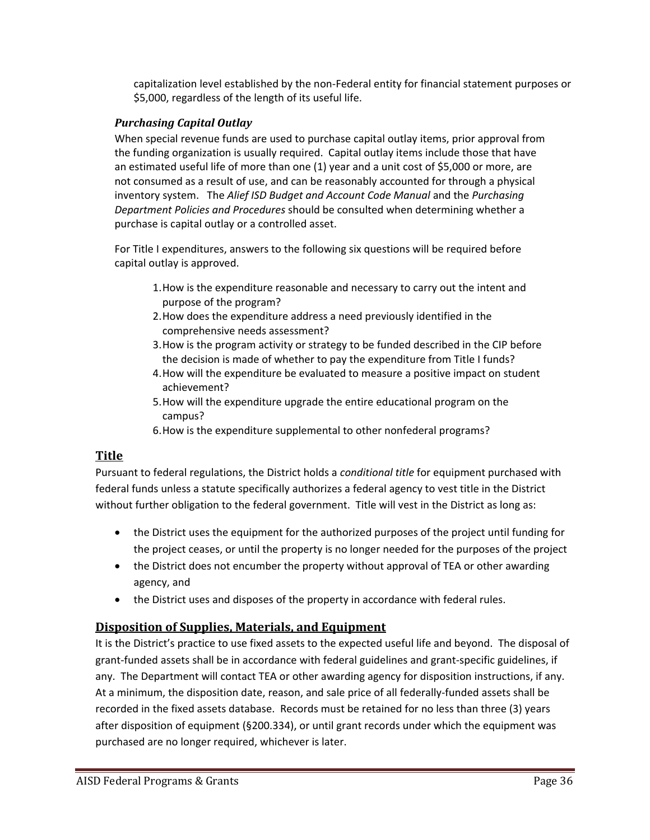capitalization level established by the non‐Federal entity for financial statement purposes or \$5,000, regardless of the length of its useful life.

#### *Purchasing Capital Outlay*

When special revenue funds are used to purchase capital outlay items, prior approval from the funding organization is usually required. Capital outlay items include those that have an estimated useful life of more than one (1) year and a unit cost of \$5,000 or more, are not consumed as a result of use, and can be reasonably accounted for through a physical inventory system. The *Alief ISD Budget and Account Code Manual* and the *Purchasing Department Policies and Procedures* should be consulted when determining whether a purchase is capital outlay or a controlled asset.

For Title I expenditures, answers to the following six questions will be required before capital outlay is approved.

- 1.How is the expenditure reasonable and necessary to carry out the intent and purpose of the program?
- 2.How does the expenditure address a need previously identified in the comprehensive needs assessment?
- 3.How is the program activity or strategy to be funded described in the CIP before the decision is made of whether to pay the expenditure from Title I funds?
- 4.How will the expenditure be evaluated to measure a positive impact on student achievement?
- 5.How will the expenditure upgrade the entire educational program on the campus?
- 6.How is the expenditure supplemental to other nonfederal programs?

## **Title**

Pursuant to federal regulations, the District holds a *conditional title* for equipment purchased with federal funds unless a statute specifically authorizes a federal agency to vest title in the District without further obligation to the federal government. Title will vest in the District as long as:

- the District uses the equipment for the authorized purposes of the project until funding for the project ceases, or until the property is no longer needed for the purposes of the project
- the District does not encumber the property without approval of TEA or other awarding agency, and
- the District uses and disposes of the property in accordance with federal rules.

## **Disposition of Supplies, Materials, and Equipment**

It is the District's practice to use fixed assets to the expected useful life and beyond. The disposal of grant‐funded assets shall be in accordance with federal guidelines and grant‐specific guidelines, if any. The Department will contact TEA or other awarding agency for disposition instructions, if any. At a minimum, the disposition date, reason, and sale price of all federally‐funded assets shall be recorded in the fixed assets database. Records must be retained for no less than three (3) years after disposition of equipment (§200.334), or until grant records under which the equipment was purchased are no longer required, whichever is later.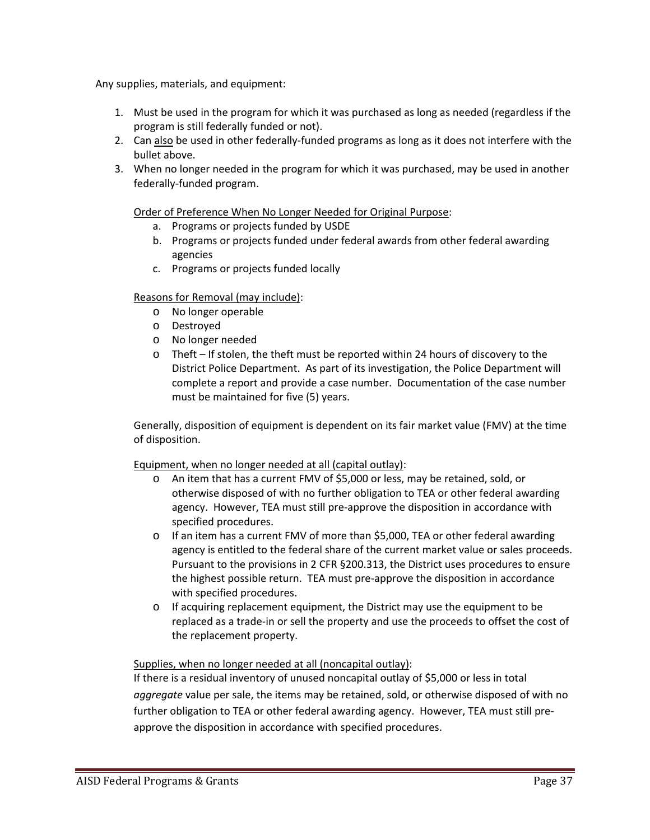Any supplies, materials, and equipment:

- 1. Must be used in the program for which it was purchased as long as needed (regardless if the program is still federally funded or not).
- 2. Can also be used in other federally-funded programs as long as it does not interfere with the bullet above.
- 3. When no longer needed in the program for which it was purchased, may be used in another federally‐funded program.

#### Order of Preference When No Longer Needed for Original Purpose:

- a. Programs or projects funded by USDE
- b. Programs or projects funded under federal awards from other federal awarding agencies
- c. Programs or projects funded locally

#### Reasons for Removal (may include):

- o No longer operable
- o Destroyed
- o No longer needed
- o Theft If stolen, the theft must be reported within 24 hours of discovery to the District Police Department. As part of its investigation, the Police Department will complete a report and provide a case number. Documentation of the case number must be maintained for five (5) years.

Generally, disposition of equipment is dependent on its fair market value (FMV) at the time of disposition.

#### Equipment, when no longer needed at all (capital outlay):

- o An item that has a current FMV of \$5,000 or less, may be retained, sold, or otherwise disposed of with no further obligation to TEA or other federal awarding agency. However, TEA must still pre‐approve the disposition in accordance with specified procedures.
- o If an item has a current FMV of more than \$5,000, TEA or other federal awarding agency is entitled to the federal share of the current market value or sales proceeds. Pursuant to the provisions in 2 CFR §200.313, the District uses procedures to ensure the highest possible return. TEA must pre‐approve the disposition in accordance with specified procedures.
- o If acquiring replacement equipment, the District may use the equipment to be replaced as a trade‐in or sell the property and use the proceeds to offset the cost of the replacement property.

#### Supplies, when no longer needed at all (noncapital outlay):

If there is a residual inventory of unused noncapital outlay of \$5,000 or less in total *aggregate* value per sale, the items may be retained, sold, or otherwise disposed of with no further obligation to TEA or other federal awarding agency. However, TEA must still pre‐ approve the disposition in accordance with specified procedures.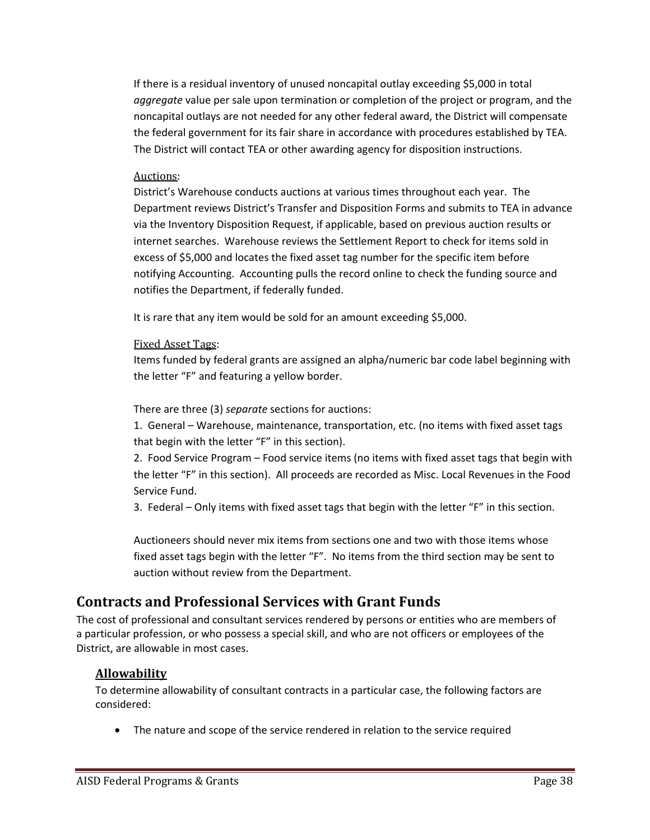If there is a residual inventory of unused noncapital outlay exceeding \$5,000 in total *aggregate* value per sale upon termination or completion of the project or program, and the noncapital outlays are not needed for any other federal award, the District will compensate the federal government for its fair share in accordance with procedures established by TEA. The District will contact TEA or other awarding agency for disposition instructions.

#### Auctions:

District's Warehouse conducts auctions at various times throughout each year. The Department reviews District's Transfer and Disposition Forms and submits to TEA in advance via the Inventory Disposition Request, if applicable, based on previous auction results or internet searches. Warehouse reviews the Settlement Report to check for items sold in excess of \$5,000 and locates the fixed asset tag number for the specific item before notifying Accounting. Accounting pulls the record online to check the funding source and notifies the Department, if federally funded.

It is rare that any item would be sold for an amount exceeding \$5,000.

#### Fixed Asset Tags:

Items funded by federal grants are assigned an alpha/numeric bar code label beginning with the letter "F" and featuring a yellow border.

There are three (3) *separate* sections for auctions:

1. General – Warehouse, maintenance, transportation, etc. (no items with fixed asset tags that begin with the letter "F" in this section).

2. Food Service Program – Food service items (no items with fixed asset tags that begin with the letter "F" in this section). All proceeds are recorded as Misc. Local Revenues in the Food Service Fund.

3. Federal – Only items with fixed asset tags that begin with the letter "F" in this section.

Auctioneers should never mix items from sections one and two with those items whose fixed asset tags begin with the letter "F". No items from the third section may be sent to auction without review from the Department.

## **Contracts and Professional Services with Grant Funds**

The cost of professional and consultant services rendered by persons or entities who are members of a particular profession, or who possess a special skill, and who are not officers or employees of the District, are allowable in most cases.

## **Allowability**

To determine allowability of consultant contracts in a particular case, the following factors are considered:

The nature and scope of the service rendered in relation to the service required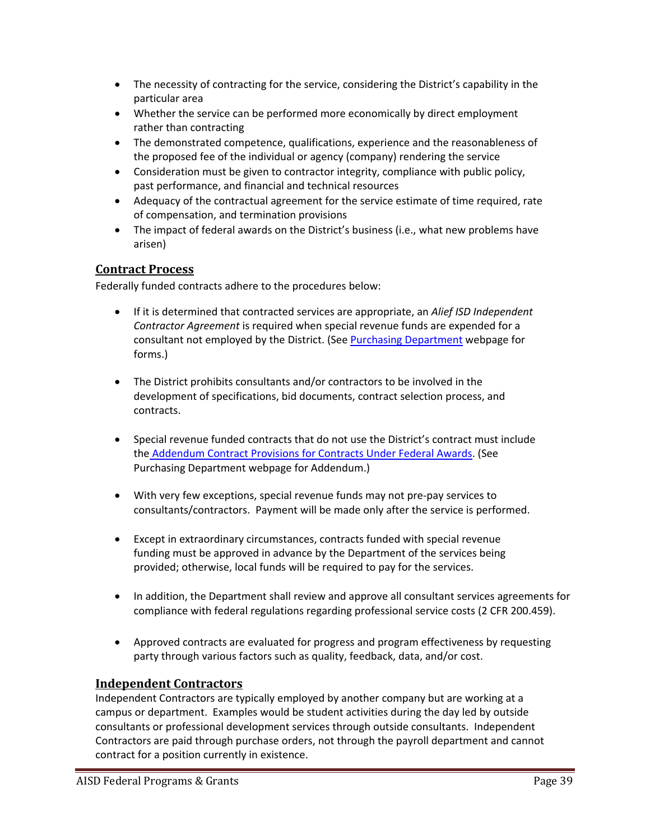- The necessity of contracting for the service, considering the District's capability in the particular area
- Whether the service can be performed more economically by direct employment rather than contracting
- The demonstrated competence, qualifications, experience and the reasonableness of the proposed fee of the individual or agency (company) rendering the service
- Consideration must be given to contractor integrity, compliance with public policy, past performance, and financial and technical resources
- Adequacy of the contractual agreement for the service estimate of time required, rate of compensation, and termination provisions
- The impact of federal awards on the District's business (i.e., what new problems have arisen)

#### **Contract Process**

Federally funded contracts adhere to the procedures below:

- If it is determined that contracted services are appropriate, an *Alief ISD Independent Contractor Agreement* is required when special revenue funds are expended for a consultant not employed by the District. (See Purchasing Department webpage for forms.)
- The District prohibits consultants and/or contractors to be involved in the development of specifications, bid documents, contract selection process, and contracts.
- Special revenue funded contracts that do not use the District's contract must include the Addendum Contract Provisions for Contracts Under Federal Awards. (See Purchasing Department webpage for Addendum.)
- With very few exceptions, special revenue funds may not pre‐pay services to consultants/contractors. Payment will be made only after the service is performed.
- Except in extraordinary circumstances, contracts funded with special revenue funding must be approved in advance by the Department of the services being provided; otherwise, local funds will be required to pay for the services.
- In addition, the Department shall review and approve all consultant services agreements for compliance with federal regulations regarding professional service costs (2 CFR 200.459).
- Approved contracts are evaluated for progress and program effectiveness by requesting party through various factors such as quality, feedback, data, and/or cost.

#### **Independent Contractors**

Independent Contractors are typically employed by another company but are working at a campus or department. Examples would be student activities during the day led by outside consultants or professional development services through outside consultants. Independent Contractors are paid through purchase orders, not through the payroll department and cannot contract for a position currently in existence.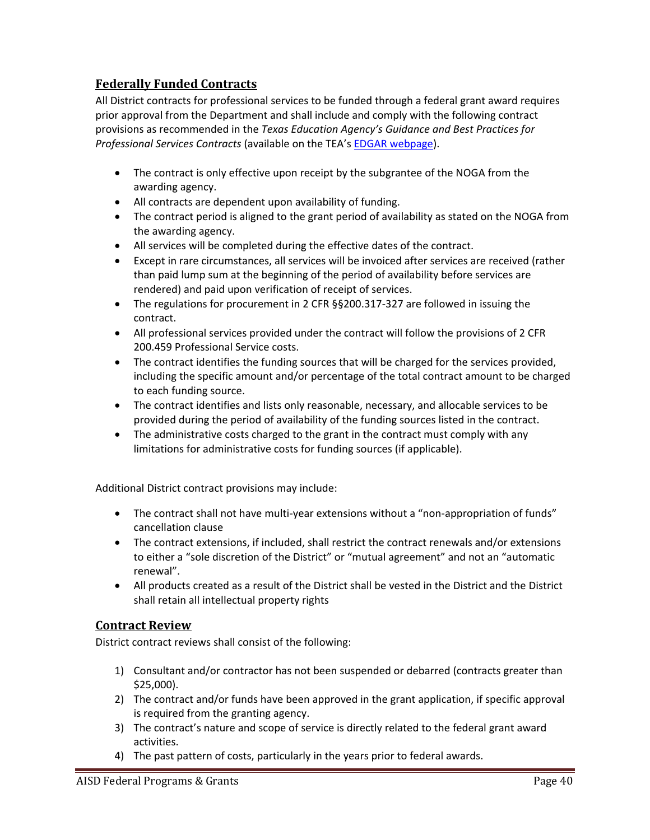## **Federally Funded Contracts**

All District contracts for professional services to be funded through a federal grant award requires prior approval from the Department and shall include and comply with the following contract provisions as recommended in the *Texas Education Agency's Guidance and Best Practices for Professional Services Contracts* (available on the TEA's EDGAR webpage).

- The contract is only effective upon receipt by the subgrantee of the NOGA from the awarding agency.
- All contracts are dependent upon availability of funding.
- The contract period is aligned to the grant period of availability as stated on the NOGA from the awarding agency.
- All services will be completed during the effective dates of the contract.
- Except in rare circumstances, all services will be invoiced after services are received (rather than paid lump sum at the beginning of the period of availability before services are rendered) and paid upon verification of receipt of services.
- The regulations for procurement in 2 CFR §§200.317‐327 are followed in issuing the contract.
- All professional services provided under the contract will follow the provisions of 2 CFR 200.459 Professional Service costs.
- The contract identifies the funding sources that will be charged for the services provided, including the specific amount and/or percentage of the total contract amount to be charged to each funding source.
- The contract identifies and lists only reasonable, necessary, and allocable services to be provided during the period of availability of the funding sources listed in the contract.
- The administrative costs charged to the grant in the contract must comply with any limitations for administrative costs for funding sources (if applicable).

Additional District contract provisions may include:

- The contract shall not have multi-year extensions without a "non-appropriation of funds" cancellation clause
- The contract extensions, if included, shall restrict the contract renewals and/or extensions to either a "sole discretion of the District" or "mutual agreement" and not an "automatic renewal".
- All products created as a result of the District shall be vested in the District and the District shall retain all intellectual property rights

## **Contract Review**

District contract reviews shall consist of the following:

- 1) Consultant and/or contractor has not been suspended or debarred (contracts greater than \$25,000).
- 2) The contract and/or funds have been approved in the grant application, if specific approval is required from the granting agency.
- 3) The contract's nature and scope of service is directly related to the federal grant award activities.
- 4) The past pattern of costs, particularly in the years prior to federal awards.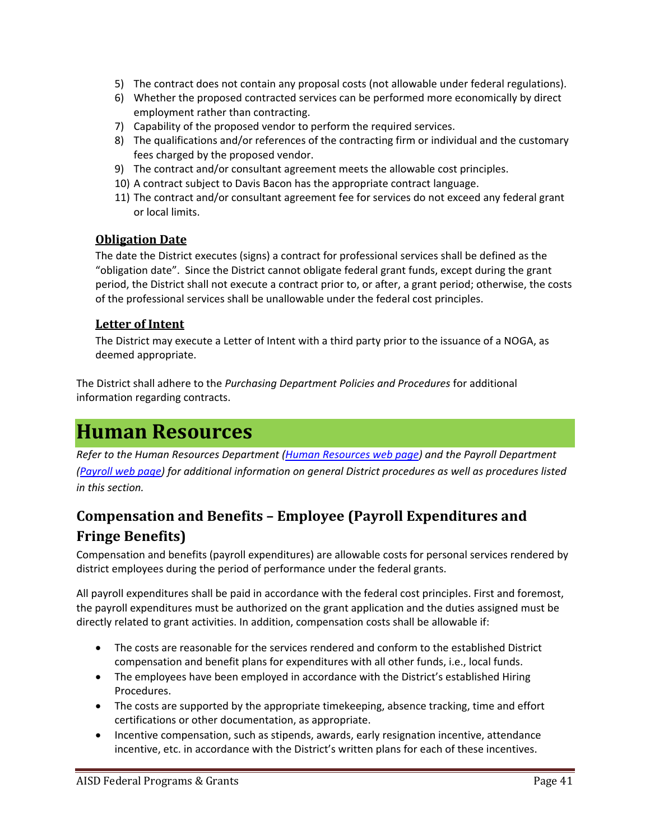- 5) The contract does not contain any proposal costs (not allowable under federal regulations).
- 6) Whether the proposed contracted services can be performed more economically by direct employment rather than contracting.
- 7) Capability of the proposed vendor to perform the required services.
- 8) The qualifications and/or references of the contracting firm or individual and the customary fees charged by the proposed vendor.
- 9) The contract and/or consultant agreement meets the allowable cost principles.
- 10) A contract subject to Davis Bacon has the appropriate contract language.
- 11) The contract and/or consultant agreement fee for services do not exceed any federal grant or local limits.

## **Obligation Date**

The date the District executes (signs) a contract for professional services shall be defined as the "obligation date". Since the District cannot obligate federal grant funds, except during the grant period, the District shall not execute a contract prior to, or after, a grant period; otherwise, the costs of the professional services shall be unallowable under the federal cost principles.

## **Letter of Intent**

The District may execute a Letter of Intent with a third party prior to the issuance of a NOGA, as deemed appropriate.

The District shall adhere to the *Purchasing Department Policies and Procedures* for additional information regarding contracts.

## **Human Resources**

*Refer to the Human Resources Department (Human Resources web page) and the Payroll Department (Payroll web page) for additional information on general District procedures as well as procedures listed in this section.* 

## **Compensation and Benefits – Employee (Payroll Expenditures and Fringe Benefits)**

Compensation and benefits (payroll expenditures) are allowable costs for personal services rendered by district employees during the period of performance under the federal grants.

All payroll expenditures shall be paid in accordance with the federal cost principles. First and foremost, the payroll expenditures must be authorized on the grant application and the duties assigned must be directly related to grant activities. In addition, compensation costs shall be allowable if:

- The costs are reasonable for the services rendered and conform to the established District compensation and benefit plans for expenditures with all other funds, i.e., local funds.
- The employees have been employed in accordance with the District's established Hiring Procedures.
- The costs are supported by the appropriate timekeeping, absence tracking, time and effort certifications or other documentation, as appropriate.
- Incentive compensation, such as stipends, awards, early resignation incentive, attendance incentive, etc. in accordance with the District's written plans for each of these incentives.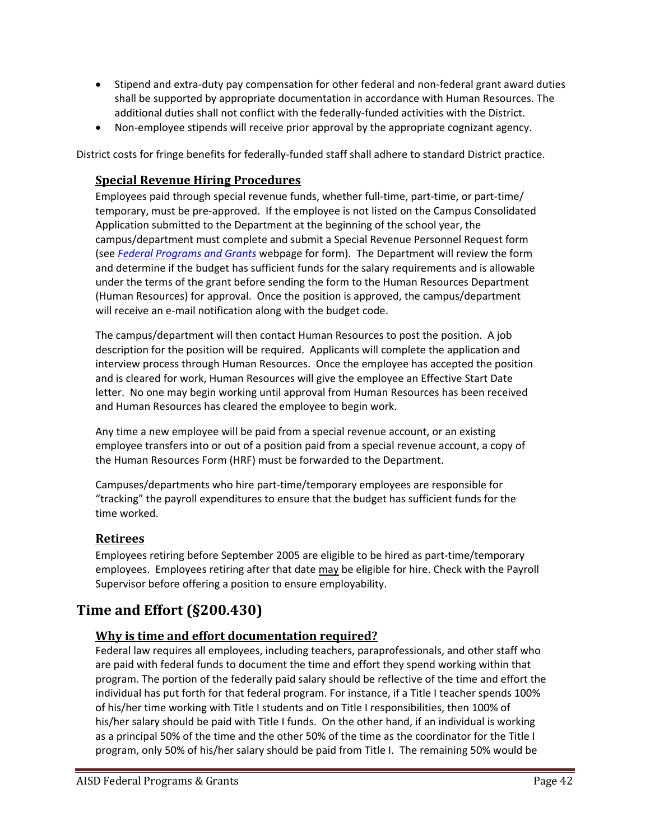- Stipend and extra-duty pay compensation for other federal and non-federal grant award duties shall be supported by appropriate documentation in accordance with Human Resources. The additional duties shall not conflict with the federally‐funded activities with the District.
- Non-employee stipends will receive prior approval by the appropriate cognizant agency.

District costs for fringe benefits for federally‐funded staff shall adhere to standard District practice.

#### **Special Revenue Hiring Procedures**

Employees paid through special revenue funds, whether full-time, part-time, or part-time/ temporary, must be pre‐approved. If the employee is not listed on the Campus Consolidated Application submitted to the Department at the beginning of the school year, the campus/department must complete and submit a Special Revenue Personnel Request form (see *Federal Programs and Grants* webpage for form). The Department will review the form and determine if the budget has sufficient funds for the salary requirements and is allowable under the terms of the grant before sending the form to the Human Resources Department (Human Resources) for approval. Once the position is approved, the campus/department will receive an e-mail notification along with the budget code.

The campus/department will then contact Human Resources to post the position. A job description for the position will be required. Applicants will complete the application and interview process through Human Resources. Once the employee has accepted the position and is cleared for work, Human Resources will give the employee an Effective Start Date letter. No one may begin working until approval from Human Resources has been received and Human Resources has cleared the employee to begin work.

Any time a new employee will be paid from a special revenue account, or an existing employee transfers into or out of a position paid from a special revenue account, a copy of the Human Resources Form (HRF) must be forwarded to the Department.

Campuses/departments who hire part‐time/temporary employees are responsible for "tracking" the payroll expenditures to ensure that the budget has sufficient funds for the time worked.

#### **Retirees**

Employees retiring before September 2005 are eligible to be hired as part‐time/temporary employees. Employees retiring after that date may be eligible for hire. Check with the Payroll Supervisor before offering a position to ensure employability.

## **Time and Effort (§200.430)**

## **Why is time and effort documentation required?**

Federal law requires all employees, including teachers, paraprofessionals, and other staff who are paid with federal funds to document the time and effort they spend working within that program. The portion of the federally paid salary should be reflective of the time and effort the individual has put forth for that federal program. For instance, if a Title I teacher spends 100% of his/her time working with Title I students and on Title I responsibilities, then 100% of his/her salary should be paid with Title I funds. On the other hand, if an individual is working as a principal 50% of the time and the other 50% of the time as the coordinator for the Title I program, only 50% of his/her salary should be paid from Title I. The remaining 50% would be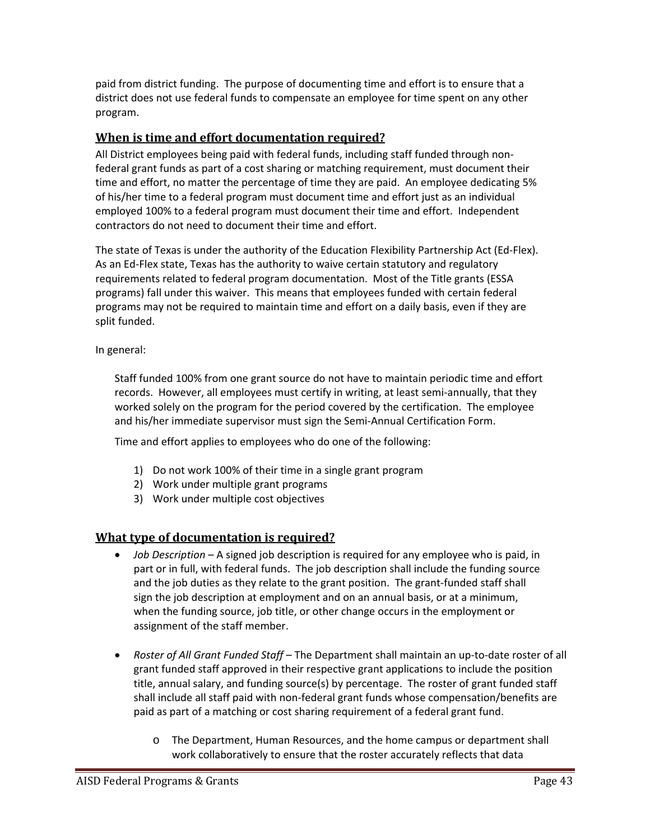paid from district funding. The purpose of documenting time and effort is to ensure that a district does not use federal funds to compensate an employee for time spent on any other program.

## **When is time and effort documentation required?**

All District employees being paid with federal funds, including staff funded through non‐ federal grant funds as part of a cost sharing or matching requirement, must document their time and effort, no matter the percentage of time they are paid. An employee dedicating 5% of his/her time to a federal program must document time and effort just as an individual employed 100% to a federal program must document their time and effort. Independent contractors do not need to document their time and effort.

The state of Texas is under the authority of the Education Flexibility Partnership Act (Ed‐Flex). As an Ed‐Flex state, Texas has the authority to waive certain statutory and regulatory requirements related to federal program documentation. Most of the Title grants (ESSA programs) fall under this waiver. This means that employees funded with certain federal programs may not be required to maintain time and effort on a daily basis, even if they are split funded.

In general:

Staff funded 100% from one grant source do not have to maintain periodic time and effort records. However, all employees must certify in writing, at least semi-annually, that they worked solely on the program for the period covered by the certification. The employee and his/her immediate supervisor must sign the Semi‐Annual Certification Form.

Time and effort applies to employees who do one of the following:

- 1) Do not work 100% of their time in a single grant program
- 2) Work under multiple grant programs
- 3) Work under multiple cost objectives

## **What type of documentation is required?**

- *Job Description*  A signed job description is required for any employee who is paid, in part or in full, with federal funds. The job description shall include the funding source and the job duties as they relate to the grant position. The grant-funded staff shall sign the job description at employment and on an annual basis, or at a minimum, when the funding source, job title, or other change occurs in the employment or assignment of the staff member.
- *Roster of All Grant Funded Staff* The Department shall maintain an up‐to‐date roster of all grant funded staff approved in their respective grant applications to include the position title, annual salary, and funding source(s) by percentage. The roster of grant funded staff shall include all staff paid with non‐federal grant funds whose compensation/benefits are paid as part of a matching or cost sharing requirement of a federal grant fund.
	- o The Department, Human Resources, and the home campus or department shall work collaboratively to ensure that the roster accurately reflects that data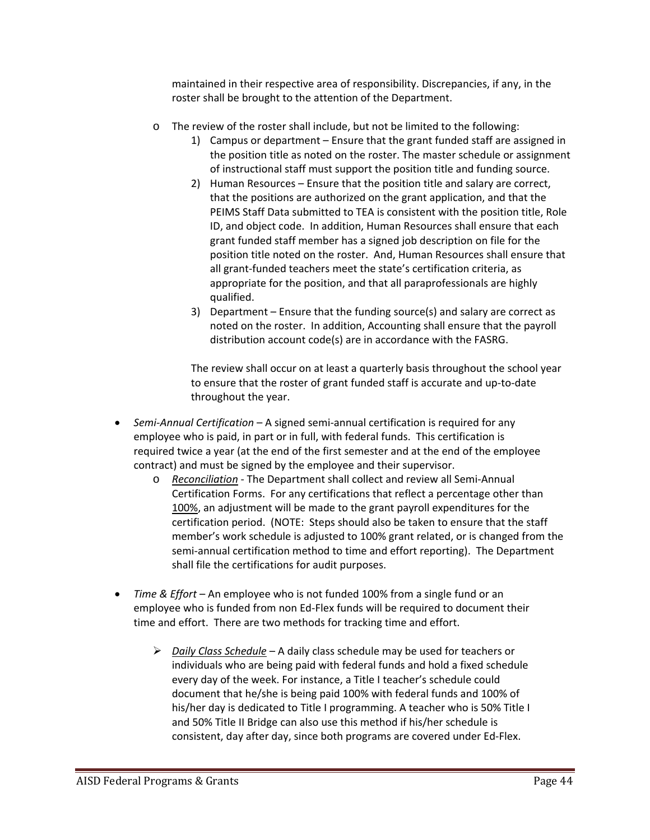maintained in their respective area of responsibility. Discrepancies, if any, in the roster shall be brought to the attention of the Department.

- o The review of the roster shall include, but not be limited to the following:
	- 1) Campus or department Ensure that the grant funded staff are assigned in the position title as noted on the roster. The master schedule or assignment of instructional staff must support the position title and funding source.
	- 2) Human Resources Ensure that the position title and salary are correct, that the positions are authorized on the grant application, and that the PEIMS Staff Data submitted to TEA is consistent with the position title, Role ID, and object code. In addition, Human Resources shall ensure that each grant funded staff member has a signed job description on file for the position title noted on the roster. And, Human Resources shall ensure that all grant‐funded teachers meet the state's certification criteria, as appropriate for the position, and that all paraprofessionals are highly qualified.
	- 3) Department Ensure that the funding source(s) and salary are correct as noted on the roster. In addition, Accounting shall ensure that the payroll distribution account code(s) are in accordance with the FASRG.

The review shall occur on at least a quarterly basis throughout the school year to ensure that the roster of grant funded staff is accurate and up‐to‐date throughout the year.

- *Semi‐Annual Certification*  A signed semi‐annual certification is required for any employee who is paid, in part or in full, with federal funds. This certification is required twice a year (at the end of the first semester and at the end of the employee contract) and must be signed by the employee and their supervisor.
	- o *Reconciliation* ‐ The Department shall collect and review all Semi‐Annual Certification Forms. For any certifications that reflect a percentage other than 100%, an adjustment will be made to the grant payroll expenditures for the certification period. (NOTE: Steps should also be taken to ensure that the staff member's work schedule is adjusted to 100% grant related, or is changed from the semi-annual certification method to time and effort reporting). The Department shall file the certifications for audit purposes.
- *Time & Effort* An employee who is not funded 100% from a single fund or an employee who is funded from non Ed‐Flex funds will be required to document their time and effort. There are two methods for tracking time and effort.
	- *Daily Class Schedule*  A daily class schedule may be used for teachers or individuals who are being paid with federal funds and hold a fixed schedule every day of the week. For instance, a Title I teacher's schedule could document that he/she is being paid 100% with federal funds and 100% of his/her day is dedicated to Title I programming. A teacher who is 50% Title I and 50% Title II Bridge can also use this method if his/her schedule is consistent, day after day, since both programs are covered under Ed‐Flex.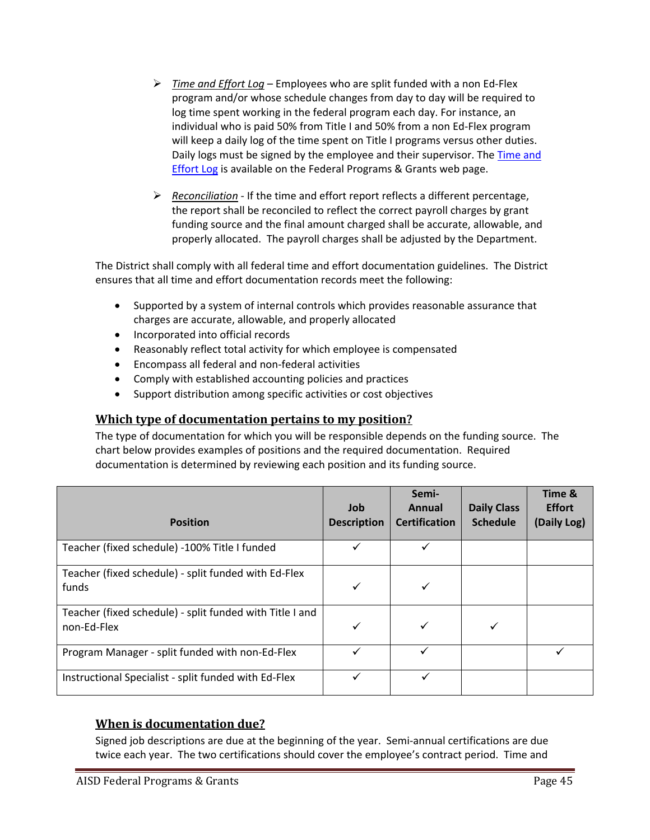- *Time and Effort Log*  Employees who are split funded with a non Ed‐Flex program and/or whose schedule changes from day to day will be required to log time spent working in the federal program each day. For instance, an individual who is paid 50% from Title I and 50% from a non Ed‐Flex program will keep a daily log of the time spent on Title I programs versus other duties. Daily logs must be signed by the employee and their supervisor. The Time and Effort Log is available on the Federal Programs & Grants web page.
- *Reconciliation* ‐ If the time and effort report reflects a different percentage, the report shall be reconciled to reflect the correct payroll charges by grant funding source and the final amount charged shall be accurate, allowable, and properly allocated. The payroll charges shall be adjusted by the Department.

The District shall comply with all federal time and effort documentation guidelines. The District ensures that all time and effort documentation records meet the following:

- Supported by a system of internal controls which provides reasonable assurance that charges are accurate, allowable, and properly allocated
- Incorporated into official records
- Reasonably reflect total activity for which employee is compensated
- Encompass all federal and non‐federal activities
- Comply with established accounting policies and practices
- Support distribution among specific activities or cost objectives

## **Which type of documentation pertains to my position?**

The type of documentation for which you will be responsible depends on the funding source. The chart below provides examples of positions and the required documentation. Required documentation is determined by reviewing each position and its funding source.

| <b>Position</b>                                                         | Job<br><b>Description</b> | Semi-<br><b>Annual</b><br><b>Certification</b> | <b>Daily Class</b><br><b>Schedule</b> | Time &<br><b>Effort</b><br>(Daily Log) |
|-------------------------------------------------------------------------|---------------------------|------------------------------------------------|---------------------------------------|----------------------------------------|
| Teacher (fixed schedule) -100% Title I funded                           | ✓                         | ✓                                              |                                       |                                        |
| Teacher (fixed schedule) - split funded with Ed-Flex<br>funds           | ✓                         | ✓                                              |                                       |                                        |
| Teacher (fixed schedule) - split funded with Title I and<br>non-Ed-Flex | ✓                         |                                                |                                       |                                        |
| Program Manager - split funded with non-Ed-Flex                         |                           |                                                |                                       |                                        |
| Instructional Specialist - split funded with Ed-Flex                    |                           | ✓                                              |                                       |                                        |

## **When is documentation due?**

Signed job descriptions are due at the beginning of the year. Semi‐annual certifications are due twice each year. The two certifications should cover the employee's contract period. Time and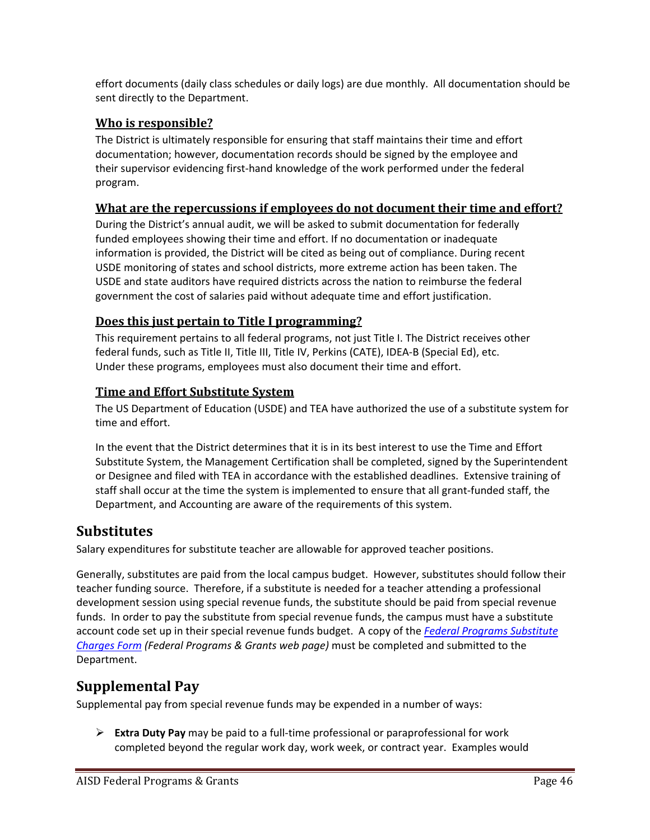effort documents (daily class schedules or daily logs) are due monthly. All documentation should be sent directly to the Department.

## **Who is responsible?**

The District is ultimately responsible for ensuring that staff maintains their time and effort documentation; however, documentation records should be signed by the employee and their supervisor evidencing first‐hand knowledge of the work performed under the federal program.

## **What are the repercussions if employees do not document their time and effort?**

During the District's annual audit, we will be asked to submit documentation for federally funded employees showing their time and effort. If no documentation or inadequate information is provided, the District will be cited as being out of compliance. During recent USDE monitoring of states and school districts, more extreme action has been taken. The USDE and state auditors have required districts across the nation to reimburse the federal government the cost of salaries paid without adequate time and effort justification.

## **Does this just pertain to Title I programming?**

This requirement pertains to all federal programs, not just Title I. The District receives other federal funds, such as Title II, Title III, Title IV, Perkins (CATE), IDEA‐B (Special Ed), etc. Under these programs, employees must also document their time and effort.

## **Time and Effort Substitute System**

The US Department of Education (USDE) and TEA have authorized the use of a substitute system for time and effort.

In the event that the District determines that it is in its best interest to use the Time and Effort Substitute System, the Management Certification shall be completed, signed by the Superintendent or Designee and filed with TEA in accordance with the established deadlines. Extensive training of staff shall occur at the time the system is implemented to ensure that all grant-funded staff, the Department, and Accounting are aware of the requirements of this system.

## **Substitutes**

Salary expenditures for substitute teacher are allowable for approved teacher positions.

Generally, substitutes are paid from the local campus budget. However, substitutes should follow their teacher funding source. Therefore, if a substitute is needed for a teacher attending a professional development session using special revenue funds, the substitute should be paid from special revenue funds. In order to pay the substitute from special revenue funds, the campus must have a substitute account code set up in their special revenue funds budget. A copy of the *Federal Programs Substitute Charges Form (Federal Programs & Grants web page)* must be completed and submitted to the Department.

## **Supplemental Pay**

Supplemental pay from special revenue funds may be expended in a number of ways:

 **Extra Duty Pay** may be paid to a full‐time professional or paraprofessional for work completed beyond the regular work day, work week, or contract year. Examples would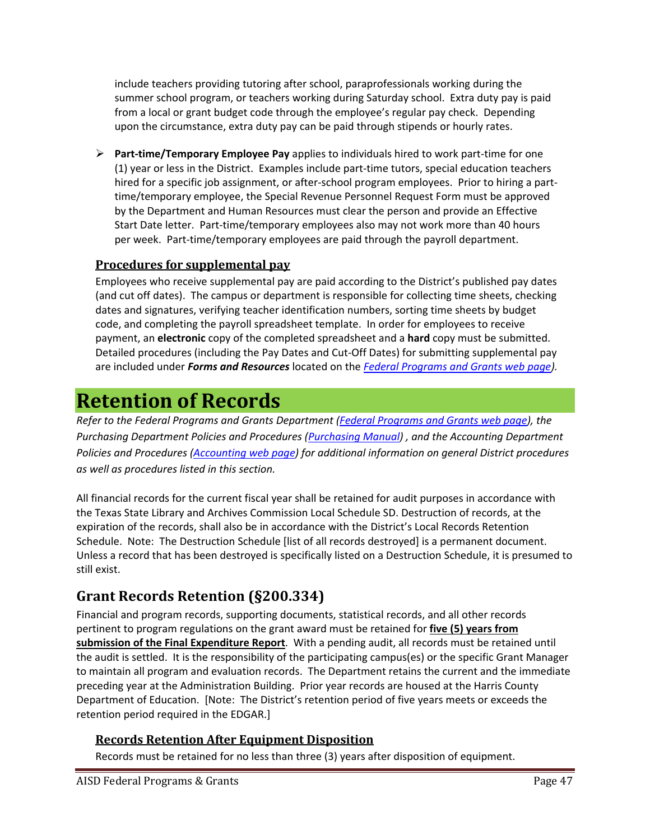include teachers providing tutoring after school, paraprofessionals working during the summer school program, or teachers working during Saturday school. Extra duty pay is paid from a local or grant budget code through the employee's regular pay check. Depending upon the circumstance, extra duty pay can be paid through stipends or hourly rates.

 **Part‐time/Temporary Employee Pay** applies to individuals hired to work part‐time for one (1) year or less in the District. Examples include part‐time tutors, special education teachers hired for a specific job assignment, or after-school program employees. Prior to hiring a parttime/temporary employee, the Special Revenue Personnel Request Form must be approved by the Department and Human Resources must clear the person and provide an Effective Start Date letter. Part‐time/temporary employees also may not work more than 40 hours per week. Part‐time/temporary employees are paid through the payroll department.

## **Procedures for supplemental pay**

Employees who receive supplemental pay are paid according to the District's published pay dates (and cut off dates). The campus or department is responsible for collecting time sheets, checking dates and signatures, verifying teacher identification numbers, sorting time sheets by budget code, and completing the payroll spreadsheet template. In order for employees to receive payment, an **electronic** copy of the completed spreadsheet and a **hard** copy must be submitted. Detailed procedures (including the Pay Dates and Cut‐Off Dates) for submitting supplemental pay are included under *Forms and Resources* located on the *Federal Programs and Grants web page).*

## **Retention of Records**

*Refer to the Federal Programs and Grants Department (Federal Programs and Grants web page), the Purchasing Department Policies and Procedures (Purchasing Manual) , and the Accounting Department Policies and Procedures (Accounting web page) for additional information on general District procedures as well as procedures listed in this section.* 

All financial records for the current fiscal year shall be retained for audit purposes in accordance with the Texas State Library and Archives Commission Local Schedule SD. Destruction of records, at the expiration of the records, shall also be in accordance with the District's Local Records Retention Schedule. Note: The Destruction Schedule [list of all records destroyed] is a permanent document. Unless a record that has been destroyed is specifically listed on a Destruction Schedule, it is presumed to still exist.

## **Grant Records Retention (§200.334)**

Financial and program records, supporting documents, statistical records, and all other records pertinent to program regulations on the grant award must be retained for **five (5) years from submission of the Final Expenditure Report**. With a pending audit, all records must be retained until the audit is settled. It is the responsibility of the participating campus(es) or the specific Grant Manager to maintain all program and evaluation records. The Department retains the current and the immediate preceding year at the Administration Building. Prior year records are housed at the Harris County Department of Education. [Note: The District's retention period of five years meets or exceeds the retention period required in the EDGAR.]

## **Records Retention After Equipment Disposition**

Records must be retained for no less than three (3) years after disposition of equipment.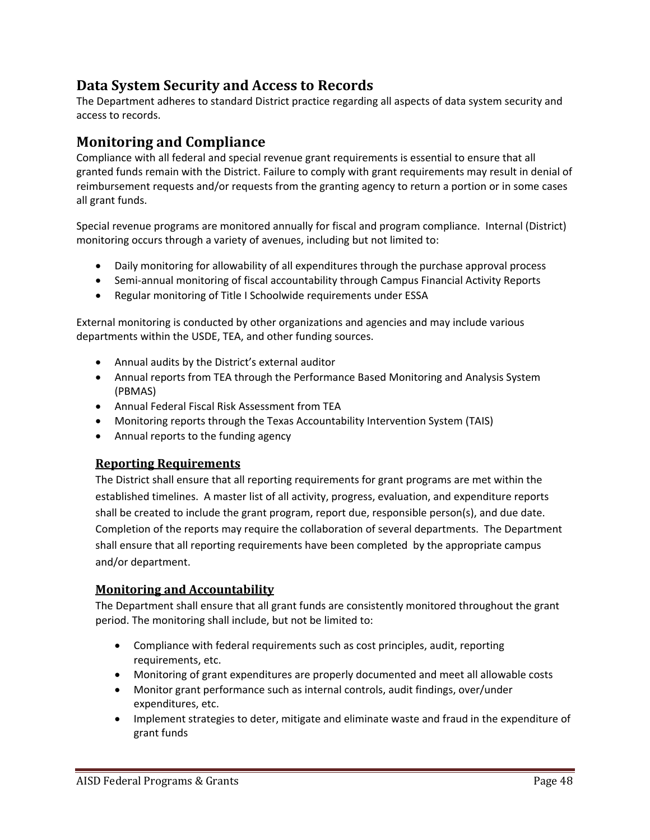## **Data System Security and Access to Records**

The Department adheres to standard District practice regarding all aspects of data system security and access to records.

## **Monitoring and Compliance**

Compliance with all federal and special revenue grant requirements is essential to ensure that all granted funds remain with the District. Failure to comply with grant requirements may result in denial of reimbursement requests and/or requests from the granting agency to return a portion or in some cases all grant funds.

Special revenue programs are monitored annually for fiscal and program compliance. Internal (District) monitoring occurs through a variety of avenues, including but not limited to:

- Daily monitoring for allowability of all expenditures through the purchase approval process
- Semi-annual monitoring of fiscal accountability through Campus Financial Activity Reports
- Regular monitoring of Title I Schoolwide requirements under ESSA

External monitoring is conducted by other organizations and agencies and may include various departments within the USDE, TEA, and other funding sources.

- Annual audits by the District's external auditor
- Annual reports from TEA through the Performance Based Monitoring and Analysis System (PBMAS)
- Annual Federal Fiscal Risk Assessment from TEA
- Monitoring reports through the Texas Accountability Intervention System (TAIS)
- Annual reports to the funding agency

## **Reporting Requirements**

The District shall ensure that all reporting requirements for grant programs are met within the established timelines. A master list of all activity, progress, evaluation, and expenditure reports shall be created to include the grant program, report due, responsible person(s), and due date. Completion of the reports may require the collaboration of several departments. The Department shall ensure that all reporting requirements have been completed by the appropriate campus and/or department.

## **Monitoring and Accountability**

The Department shall ensure that all grant funds are consistently monitored throughout the grant period. The monitoring shall include, but not be limited to:

- Compliance with federal requirements such as cost principles, audit, reporting requirements, etc.
- Monitoring of grant expenditures are properly documented and meet all allowable costs
- Monitor grant performance such as internal controls, audit findings, over/under expenditures, etc.
- Implement strategies to deter, mitigate and eliminate waste and fraud in the expenditure of grant funds